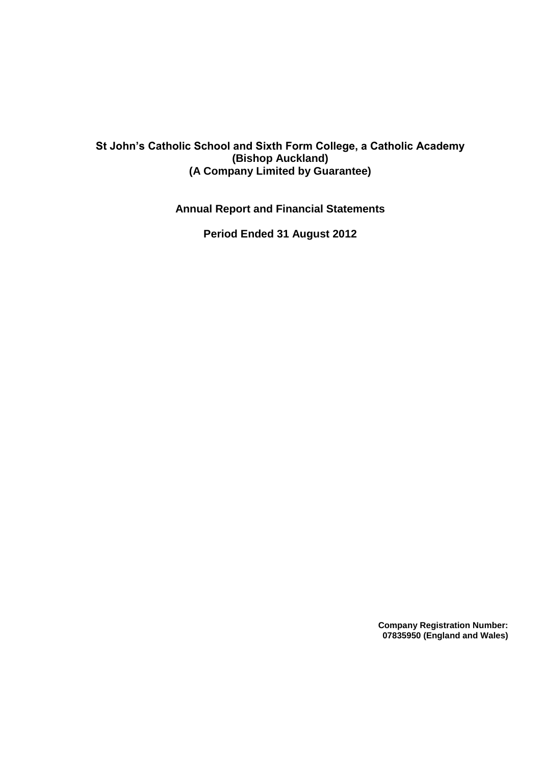# **St John's Catholic School and Sixth Form College, a Catholic Academy (Bishop Auckland) (A Company Limited by Guarantee)**

**Annual Report and Financial Statements**

**Period Ended 31 August 2012**

**Company Registration Number: 07835950 (England and Wales)**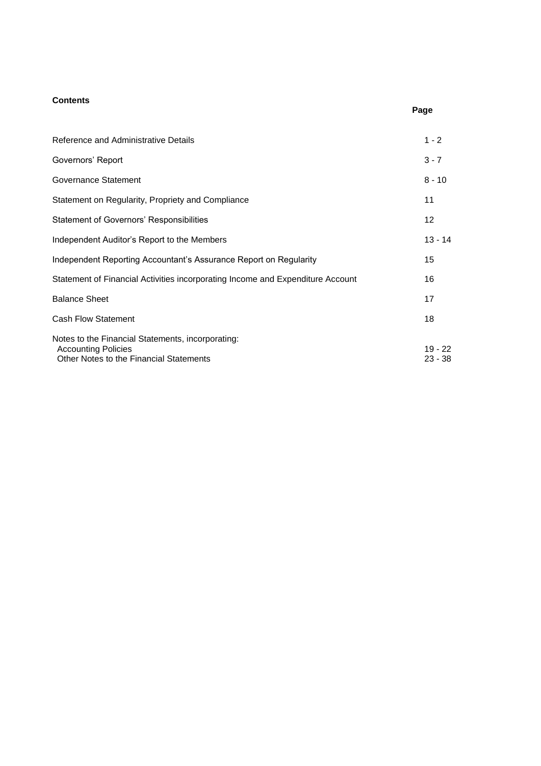# **Contents**

| ۲.<br>۰.<br>×<br>۰, |
|---------------------|
|---------------------|

| Reference and Administrative Details                                                                                       | $1 - 2$            |
|----------------------------------------------------------------------------------------------------------------------------|--------------------|
| Governors' Report                                                                                                          | $3 - 7$            |
| Governance Statement                                                                                                       | $8 - 10$           |
| Statement on Regularity, Propriety and Compliance                                                                          | 11                 |
| Statement of Governors' Responsibilities                                                                                   | 12                 |
| Independent Auditor's Report to the Members                                                                                | 13 - 14            |
| Independent Reporting Accountant's Assurance Report on Regularity                                                          | 15                 |
| Statement of Financial Activities incorporating Income and Expenditure Account                                             | 16                 |
| <b>Balance Sheet</b>                                                                                                       | 17                 |
| <b>Cash Flow Statement</b>                                                                                                 | 18                 |
| Notes to the Financial Statements, incorporating:<br><b>Accounting Policies</b><br>Other Notes to the Financial Statements | 19 - 22<br>23 - 38 |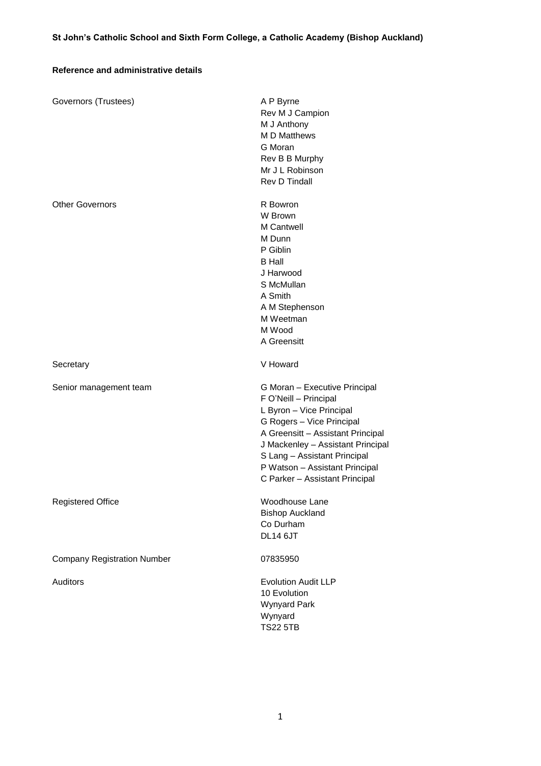# **Reference and administrative details**

| Governors (Trustees)               | A P Byrne<br>Rev M J Campion<br>M J Anthony<br><b>MD</b> Matthews<br>G Moran<br>Rev B B Murphy<br>Mr J L Robinson<br>Rev D Tindall                                                                                                                                                            |
|------------------------------------|-----------------------------------------------------------------------------------------------------------------------------------------------------------------------------------------------------------------------------------------------------------------------------------------------|
| <b>Other Governors</b>             | R Bowron<br>W Brown<br><b>M</b> Cantwell<br>M Dunn<br>P Giblin<br><b>B</b> Hall<br>J Harwood<br>S McMullan<br>A Smith<br>A M Stephenson<br>M Weetman<br>M Wood<br>A Greensitt                                                                                                                 |
| Secretary                          | V Howard                                                                                                                                                                                                                                                                                      |
| Senior management team             | G Moran - Executive Principal<br>F O'Neill - Principal<br>L Byron - Vice Principal<br>G Rogers - Vice Principal<br>A Greensitt - Assistant Principal<br>J Mackenley - Assistant Principal<br>S Lang - Assistant Principal<br>P Watson - Assistant Principal<br>C Parker - Assistant Principal |
| <b>Registered Office</b>           | Woodhouse Lane<br><b>Bishop Auckland</b><br>Co Durham<br><b>DL14 6JT</b>                                                                                                                                                                                                                      |
| <b>Company Registration Number</b> | 07835950                                                                                                                                                                                                                                                                                      |
| Auditors                           | <b>Evolution Audit LLP</b><br>10 Evolution<br>Wynyard Park<br>Wynyard<br><b>TS22 5TB</b>                                                                                                                                                                                                      |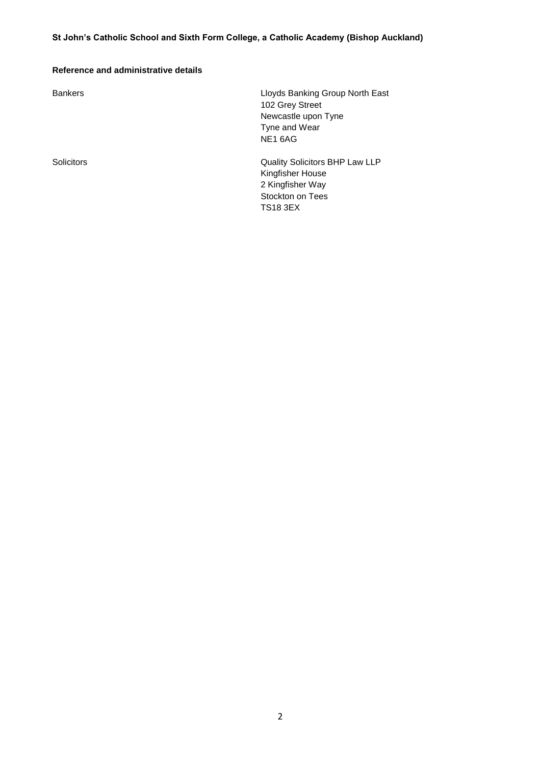# **Reference and administrative details**

Bankers Lloyds Banking Group North East 102 Grey Street Newcastle upon Tyne Tyne and Wear NE1 6AG

Solicitors Quality Solicitors BHP Law LLP Kingfisher House 2 Kingfisher Way Stockton on Tees TS18 3EX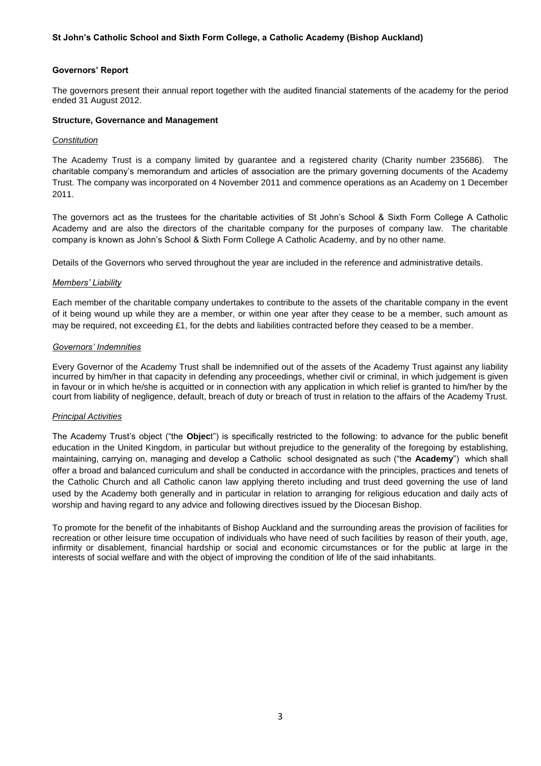#### **Governors' Report**

The governors present their annual report together with the audited financial statements of the academy for the period ended 31 August 2012.

#### **Structure, Governance and Management**

#### *Constitution*

The Academy Trust is a company limited by guarantee and a registered charity (Charity number 235686). The charitable company's memorandum and articles of association are the primary governing documents of the Academy Trust. The company was incorporated on 4 November 2011 and commence operations as an Academy on 1 December 2011.

The governors act as the trustees for the charitable activities of St John's School & Sixth Form College A Catholic Academy and are also the directors of the charitable company for the purposes of company law. The charitable company is known as John's School & Sixth Form College A Catholic Academy, and by no other name.

Details of the Governors who served throughout the year are included in the reference and administrative details.

#### *Members' Liability*

Each member of the charitable company undertakes to contribute to the assets of the charitable company in the event of it being wound up while they are a member, or within one year after they cease to be a member, such amount as may be required, not exceeding £1, for the debts and liabilities contracted before they ceased to be a member.

#### *Governors' Indemnities*

Every Governor of the Academy Trust shall be indemnified out of the assets of the Academy Trust against any liability incurred by him/her in that capacity in defending any proceedings, whether civil or criminal, in which judgement is given in favour or in which he/she is acquitted or in connection with any application in which relief is granted to him/her by the court from liability of negligence, default, breach of duty or breach of trust in relation to the affairs of the Academy Trust.

#### *Principal Activities*

The Academy Trust's object ("the **Objec**t") is specifically restricted to the following: to advance for the public benefit education in the United Kingdom, in particular but without prejudice to the generality of the foregoing by establishing, maintaining, carrying on, managing and develop a Catholic school designated as such ("the **Academy**") which shall offer a broad and balanced curriculum and shall be conducted in accordance with the principles, practices and tenets of the Catholic Church and all Catholic canon law applying thereto including and trust deed governing the use of land used by the Academy both generally and in particular in relation to arranging for religious education and daily acts of worship and having regard to any advice and following directives issued by the Diocesan Bishop.

To promote for the benefit of the inhabitants of Bishop Auckland and the surrounding areas the provision of facilities for recreation or other leisure time occupation of individuals who have need of such facilities by reason of their youth, age, infirmity or disablement, financial hardship or social and economic circumstances or for the public at large in the interests of social welfare and with the object of improving the condition of life of the said inhabitants.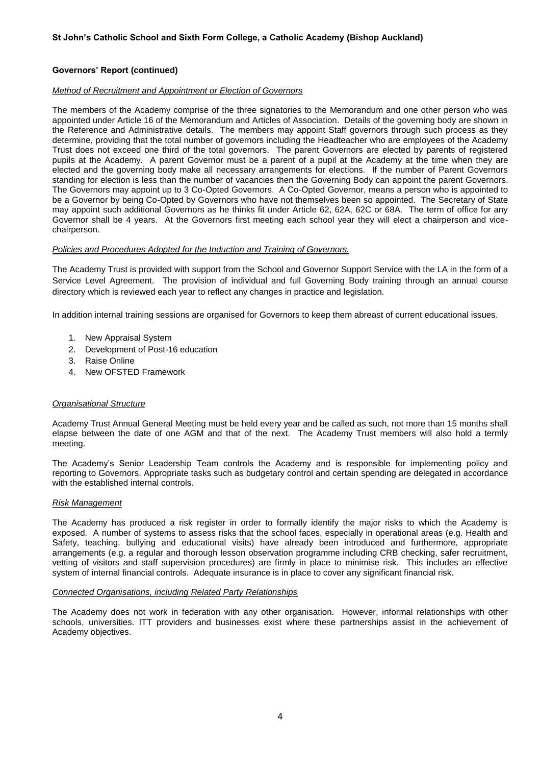#### *Method of Recruitment and Appointment or Election of Governors*

The members of the Academy comprise of the three signatories to the Memorandum and one other person who was appointed under Article 16 of the Memorandum and Articles of Association. Details of the governing body are shown in the Reference and Administrative details. The members may appoint Staff governors through such process as they determine, providing that the total number of governors including the Headteacher who are employees of the Academy Trust does not exceed one third of the total governors. The parent Governors are elected by parents of registered pupils at the Academy. A parent Governor must be a parent of a pupil at the Academy at the time when they are elected and the governing body make all necessary arrangements for elections. If the number of Parent Governors standing for election is less than the number of vacancies then the Governing Body can appoint the parent Governors. The Governors may appoint up to 3 Co-Opted Governors. A Co-Opted Governor, means a person who is appointed to be a Governor by being Co-Opted by Governors who have not themselves been so appointed. The Secretary of State may appoint such additional Governors as he thinks fit under Article 62, 62A, 62C or 68A. The term of office for any Governor shall be 4 years. At the Governors first meeting each school year they will elect a chairperson and vicechairperson.

#### *Policies and Procedures Adopted for the Induction and Training of Governors.*

The Academy Trust is provided with support from the School and Governor Support Service with the LA in the form of a Service Level Agreement. The provision of individual and full Governing Body training through an annual course directory which is reviewed each year to reflect any changes in practice and legislation.

In addition internal training sessions are organised for Governors to keep them abreast of current educational issues.

- 1. New Appraisal System
- 2. Development of Post-16 education
- 3. Raise Online
- 4. New OFSTED Framework

### *Organisational Structure*

Academy Trust Annual General Meeting must be held every year and be called as such, not more than 15 months shall elapse between the date of one AGM and that of the next. The Academy Trust members will also hold a termly meeting.

The Academy's Senior Leadership Team controls the Academy and is responsible for implementing policy and reporting to Governors. Appropriate tasks such as budgetary control and certain spending are delegated in accordance with the established internal controls.

#### *Risk Management*

The Academy has produced a risk register in order to formally identify the major risks to which the Academy is exposed. A number of systems to assess risks that the school faces, especially in operational areas (e.g. Health and Safety, teaching, bullying and educational visits) have already been introduced and furthermore, appropriate arrangements (e.g. a regular and thorough lesson observation programme including CRB checking, safer recruitment, vetting of visitors and staff supervision procedures) are firmly in place to minimise risk. This includes an effective system of internal financial controls. Adequate insurance is in place to cover any significant financial risk.

#### *Connected Organisations, including Related Party Relationships*

The Academy does not work in federation with any other organisation. However, informal relationships with other schools, universities. ITT providers and businesses exist where these partnerships assist in the achievement of Academy objectives.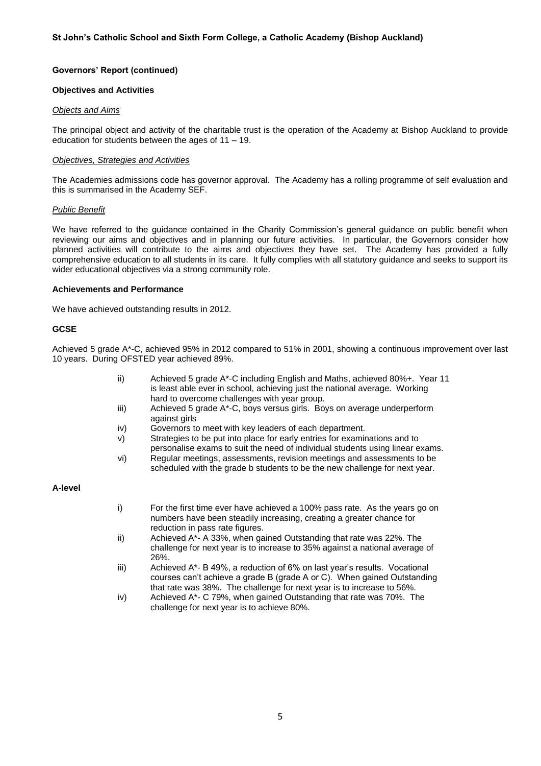#### **Objectives and Activities**

#### *Objects and Aims*

The principal object and activity of the charitable trust is the operation of the Academy at Bishop Auckland to provide education for students between the ages of 11 – 19.

#### *Objectives, Strategies and Activities*

The Academies admissions code has governor approval. The Academy has a rolling programme of self evaluation and this is summarised in the Academy SEF.

#### *Public Benefit*

We have referred to the guidance contained in the Charity Commission's general guidance on public benefit when reviewing our aims and objectives and in planning our future activities. In particular, the Governors consider how planned activities will contribute to the aims and objectives they have set. The Academy has provided a fully comprehensive education to all students in its care. It fully complies with all statutory guidance and seeks to support its wider educational objectives via a strong community role.

#### **Achievements and Performance**

We have achieved outstanding results in 2012.

### **GCSE**

Achieved 5 grade A\*-C, achieved 95% in 2012 compared to 51% in 2001, showing a continuous improvement over last 10 years. During OFSTED year achieved 89%.

- ii) Achieved 5 grade A\*-C including English and Maths, achieved 80%+. Year 11 is least able ever in school, achieving just the national average. Working hard to overcome challenges with year group.
- iii) Achieved 5 grade A\*-C, boys versus girls. Boys on average underperform against girls
- iv) Governors to meet with key leaders of each department.
- v) Strategies to be put into place for early entries for examinations and to
- personalise exams to suit the need of individual students using linear exams. vi) Regular meetings, assessments, revision meetings and assessments to be scheduled with the grade b students to be the new challenge for next year.

#### **A-level**

- i) For the first time ever have achieved a 100% pass rate. As the years go on numbers have been steadily increasing, creating a greater chance for reduction in pass rate figures.
- ii) Achieved A\*- A 33%, when gained Outstanding that rate was 22%. The challenge for next year is to increase to 35% against a national average of 26%.
- iii) Achieved A\*- B 49%, a reduction of 6% on last year's results. Vocational courses can't achieve a grade B (grade A or C). When gained Outstanding that rate was 38%. The challenge for next year is to increase to 56%.
- iv) Achieved A\*- C 79%, when gained Outstanding that rate was 70%. The challenge for next year is to achieve 80%.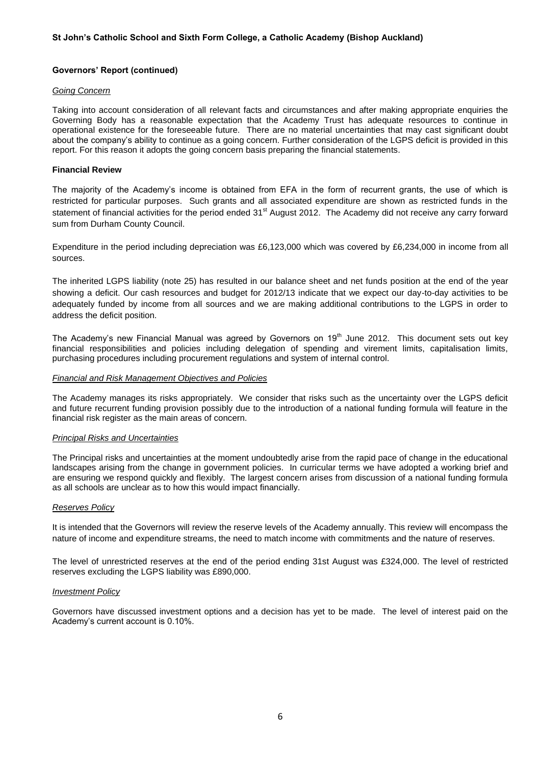#### *Going Concern*

Taking into account consideration of all relevant facts and circumstances and after making appropriate enquiries the Governing Body has a reasonable expectation that the Academy Trust has adequate resources to continue in operational existence for the foreseeable future. There are no material uncertainties that may cast significant doubt about the company's ability to continue as a going concern. Further consideration of the LGPS deficit is provided in this report. For this reason it adopts the going concern basis preparing the financial statements.

#### **Financial Review**

The majority of the Academy's income is obtained from EFA in the form of recurrent grants, the use of which is restricted for particular purposes. Such grants and all associated expenditure are shown as restricted funds in the statement of financial activities for the period ended 31<sup>st</sup> August 2012. The Academy did not receive any carry forward sum from Durham County Council.

Expenditure in the period including depreciation was £6,123,000 which was covered by £6,234,000 in income from all sources.

The inherited LGPS liability (note 25) has resulted in our balance sheet and net funds position at the end of the year showing a deficit. Our cash resources and budget for 2012/13 indicate that we expect our day-to-day activities to be adequately funded by income from all sources and we are making additional contributions to the LGPS in order to address the deficit position.

The Academy's new Financial Manual was agreed by Governors on  $19<sup>th</sup>$  June 2012. This document sets out key financial responsibilities and policies including delegation of spending and virement limits, capitalisation limits, purchasing procedures including procurement regulations and system of internal control.

#### *Financial and Risk Management Objectives and Policies*

The Academy manages its risks appropriately. We consider that risks such as the uncertainty over the LGPS deficit and future recurrent funding provision possibly due to the introduction of a national funding formula will feature in the financial risk register as the main areas of concern.

#### *Principal Risks and Uncertainties*

The Principal risks and uncertainties at the moment undoubtedly arise from the rapid pace of change in the educational landscapes arising from the change in government policies. In curricular terms we have adopted a working brief and are ensuring we respond quickly and flexibly. The largest concern arises from discussion of a national funding formula as all schools are unclear as to how this would impact financially.

#### *Reserves Policy*

It is intended that the Governors will review the reserve levels of the Academy annually. This review will encompass the nature of income and expenditure streams, the need to match income with commitments and the nature of reserves.

The level of unrestricted reserves at the end of the period ending 31st August was £324,000. The level of restricted reserves excluding the LGPS liability was £890,000.

#### *Investment Policy*

Governors have discussed investment options and a decision has yet to be made. The level of interest paid on the Academy's current account is 0.10%.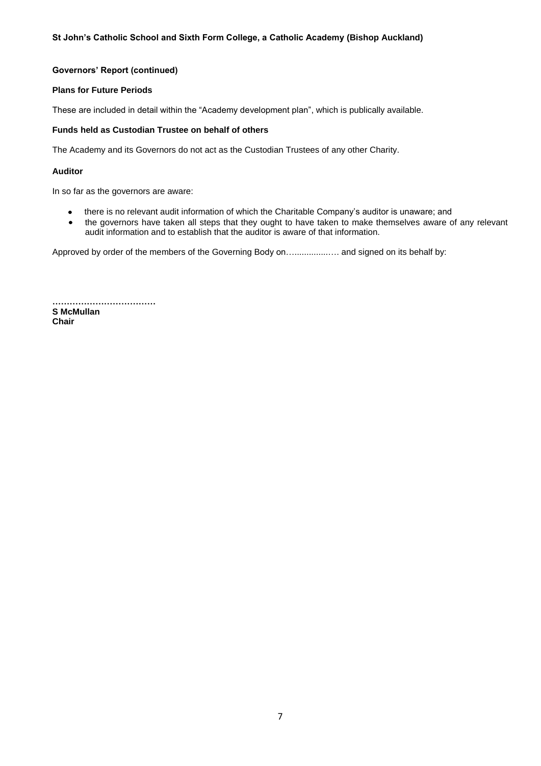### **Plans for Future Periods**

These are included in detail within the "Academy development plan", which is publically available.

### **Funds held as Custodian Trustee on behalf of others**

The Academy and its Governors do not act as the Custodian Trustees of any other Charity.

# **Auditor**

In so far as the governors are aware:

- there is no relevant audit information of which the Charitable Company's auditor is unaware; and  $\bullet$
- the governors have taken all steps that they ought to have taken to make themselves aware of any relevant audit information and to establish that the auditor is aware of that information.

Approved by order of the members of the Governing Body on…..............…. and signed on its behalf by:

**……………………………… S McMullan Chair**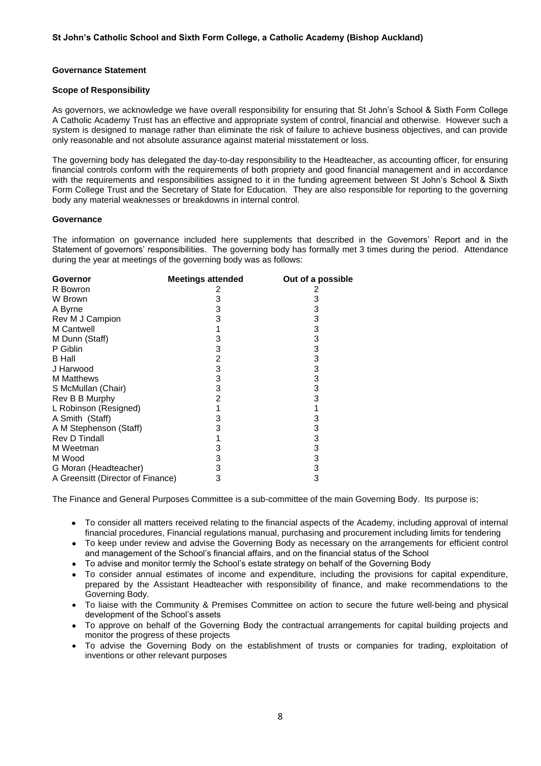# **Governance Statement**

## **Scope of Responsibility**

As governors, we acknowledge we have overall responsibility for ensuring that St John's School & Sixth Form College A Catholic Academy Trust has an effective and appropriate system of control, financial and otherwise. However such a system is designed to manage rather than eliminate the risk of failure to achieve business objectives, and can provide only reasonable and not absolute assurance against material misstatement or loss.

The governing body has delegated the day-to-day responsibility to the Headteacher, as accounting officer, for ensuring financial controls conform with the requirements of both propriety and good financial management and in accordance with the requirements and responsibilities assigned to it in the funding agreement between St John's School & Sixth Form College Trust and the Secretary of State for Education. They are also responsible for reporting to the governing body any material weaknesses or breakdowns in internal control.

#### **Governance**

The information on governance included here supplements that described in the Governors' Report and in the Statement of governors' responsibilities. The governing body has formally met 3 times during the period. Attendance during the year at meetings of the governing body was as follows:

| Governor                          | <b>Meetings attended</b> | Out of a possible |
|-----------------------------------|--------------------------|-------------------|
| R Bowron                          | 2                        | 2                 |
| W Brown                           | 3                        | 3                 |
| A Byrne                           | 3                        | 3                 |
| Rev M J Campion                   | 3                        | 3                 |
| M Cantwell                        |                          | 3                 |
| M Dunn (Staff)                    | 3                        | 3                 |
| P Giblin                          | 3                        | 3                 |
| <b>B</b> Hall                     | 2                        | 3                 |
| J Harwood                         | 3                        | 3                 |
| <b>M</b> Matthews                 | 3                        | 3                 |
| S McMullan (Chair)                | 3                        | 3                 |
| Rev B B Murphy                    | 2                        | 3                 |
| L Robinson (Resigned)             |                          |                   |
| A Smith (Staff)                   | 3                        | 3                 |
| A M Stephenson (Staff)            | 3                        | 3                 |
| Rev D Tindall                     |                          | 3                 |
| M Weetman                         | 3                        | 3                 |
| M Wood                            | 3                        | 3                 |
| G Moran (Headteacher)             | 3                        | 3                 |
| A Greensitt (Director of Finance) | 3                        | 3                 |

The Finance and General Purposes Committee is a sub-committee of the main Governing Body. Its purpose is;

- To consider all matters received relating to the financial aspects of the Academy, including approval of internal financial procedures, Financial regulations manual, purchasing and procurement including limits for tendering
- To keep under review and advise the Governing Body as necessary on the arrangements for efficient control and management of the School's financial affairs, and on the financial status of the School
- To advise and monitor termly the School's estate strategy on behalf of the Governing Body
- To consider annual estimates of income and expenditure, including the provisions for capital expenditure, prepared by the Assistant Headteacher with responsibility of finance, and make recommendations to the Governing Body.
- To liaise with the Community & Premises Committee on action to secure the future well-being and physical development of the School's assets
- To approve on behalf of the Governing Body the contractual arrangements for capital building projects and monitor the progress of these projects
- To advise the Governing Body on the establishment of trusts or companies for trading, exploitation of inventions or other relevant purposes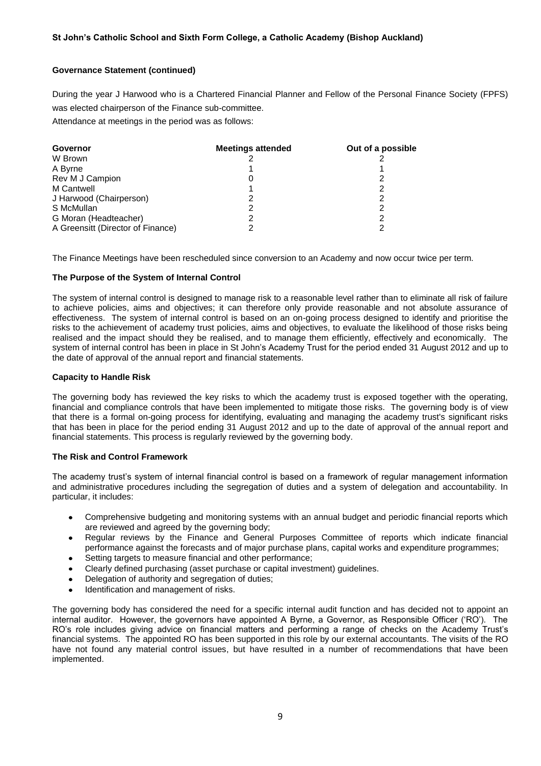# **Governance Statement (continued)**

During the year J Harwood who is a Chartered Financial Planner and Fellow of the Personal Finance Society (FPFS) was elected chairperson of the Finance sub-committee. Attendance at meetings in the period was as follows:

| Governor                          | <b>Meetings attended</b> | Out of a possible |
|-----------------------------------|--------------------------|-------------------|
| W Brown                           |                          |                   |
| A Byrne                           |                          |                   |
| Rev M J Campion                   | 0                        |                   |
| <b>M</b> Cantwell                 |                          |                   |
| J Harwood (Chairperson)           |                          |                   |
| S McMullan                        |                          |                   |
| G Moran (Headteacher)             | 2                        |                   |
| A Greensitt (Director of Finance) |                          |                   |

The Finance Meetings have been rescheduled since conversion to an Academy and now occur twice per term.

# **The Purpose of the System of Internal Control**

The system of internal control is designed to manage risk to a reasonable level rather than to eliminate all risk of failure to achieve policies, aims and objectives; it can therefore only provide reasonable and not absolute assurance of effectiveness. The system of internal control is based on an on-going process designed to identify and prioritise the risks to the achievement of academy trust policies, aims and objectives, to evaluate the likelihood of those risks being realised and the impact should they be realised, and to manage them efficiently, effectively and economically. The system of internal control has been in place in St John's Academy Trust for the period ended 31 August 2012 and up to the date of approval of the annual report and financial statements.

### **Capacity to Handle Risk**

The governing body has reviewed the key risks to which the academy trust is exposed together with the operating, financial and compliance controls that have been implemented to mitigate those risks. The governing body is of view that there is a formal on-going process for identifying, evaluating and managing the academy trust's significant risks that has been in place for the period ending 31 August 2012 and up to the date of approval of the annual report and financial statements. This process is regularly reviewed by the governing body.

### **The Risk and Control Framework**

The academy trust's system of internal financial control is based on a framework of regular management information and administrative procedures including the segregation of duties and a system of delegation and accountability. In particular, it includes:

- Comprehensive budgeting and monitoring systems with an annual budget and periodic financial reports which  $\bullet$ are reviewed and agreed by the governing body;
- Regular reviews by the Finance and General Purposes Committee of reports which indicate financial  $\bullet$ performance against the forecasts and of major purchase plans, capital works and expenditure programmes;
- Setting targets to measure financial and other performance;  $\bullet$
- Clearly defined purchasing (asset purchase or capital investment) guidelines.
- Delegation of authority and segregation of duties;
- Identification and management of risks.

The governing body has considered the need for a specific internal audit function and has decided not to appoint an internal auditor. However, the governors have appointed A Byrne, a Governor, as Responsible Officer ('RO'). The RO's role includes giving advice on financial matters and performing a range of checks on the Academy Trust's financial systems. The appointed RO has been supported in this role by our external accountants. The visits of the RO have not found any material control issues, but have resulted in a number of recommendations that have been implemented.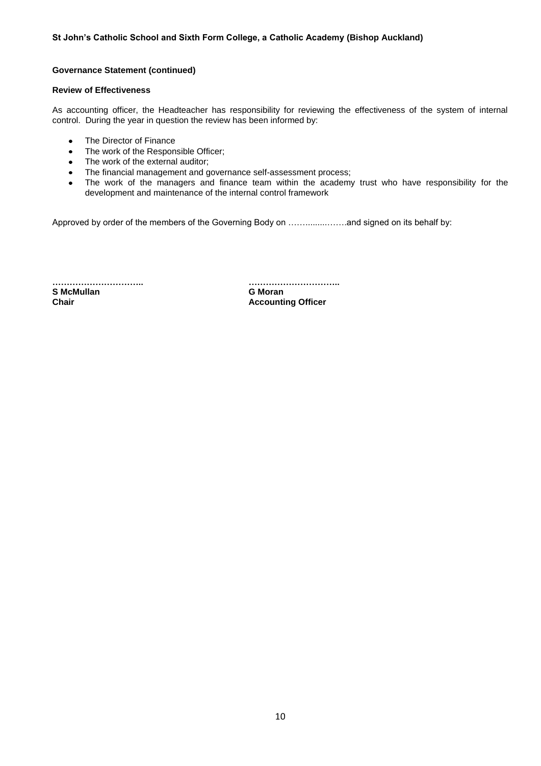# **Governance Statement (continued)**

# **Review of Effectiveness**

As accounting officer, the Headteacher has responsibility for reviewing the effectiveness of the system of internal control. During the year in question the review has been informed by:

- The Director of Finance  $\bullet$
- The work of the Responsible Officer;  $\bullet$
- The work of the external auditor;  $\bullet$
- The financial management and governance self-assessment process;  $\bullet$
- The work of the managers and finance team within the academy trust who have responsibility for the  $\bullet$ development and maintenance of the internal control framework

Approved by order of the members of the Governing Body on …….........…….and signed on its behalf by:

**………………………….. ………………………….. S McMullan G Moran**

**Accounting Officer**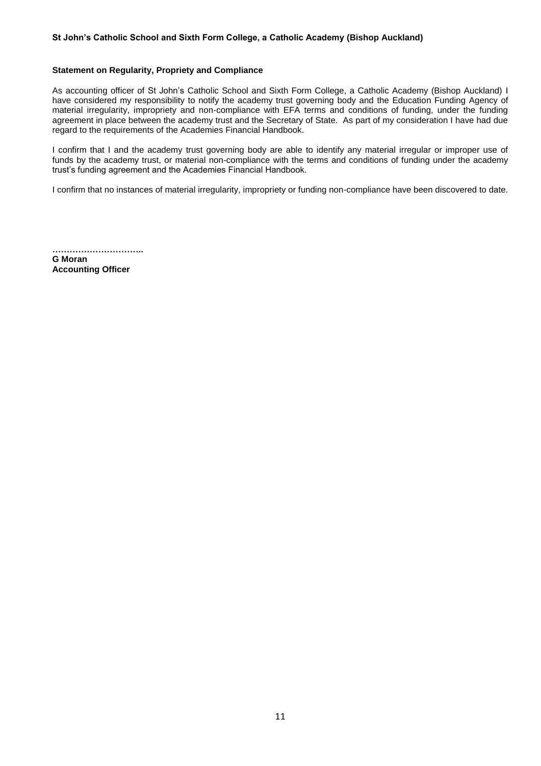#### **Statement on Regularity, Propriety and Compliance**

As accounting officer of St John's Catholic School and Sixth Form College, a Catholic Academy (Bishop Auckland) I have considered my responsibility to notify the academy trust governing body and the Education Funding Agency of material irregularity, impropriety and non-compliance with EFA terms and conditions of funding, under the funding agreement in place between the academy trust and the Secretary of State. As part of my consideration I have had due regard to the requirements of the Academies Financial Handbook.

I confirm that I and the academy trust governing body are able to identify any material irregular or improper use of funds by the academy trust, or material non-compliance with the terms and conditions of funding under the academy trust's funding agreement and the Academies Financial Handbook.

I confirm that no instances of material irregularity, impropriety or funding non-compliance have been discovered to date.

**…………………………..**

**G Moran Accounting Officer**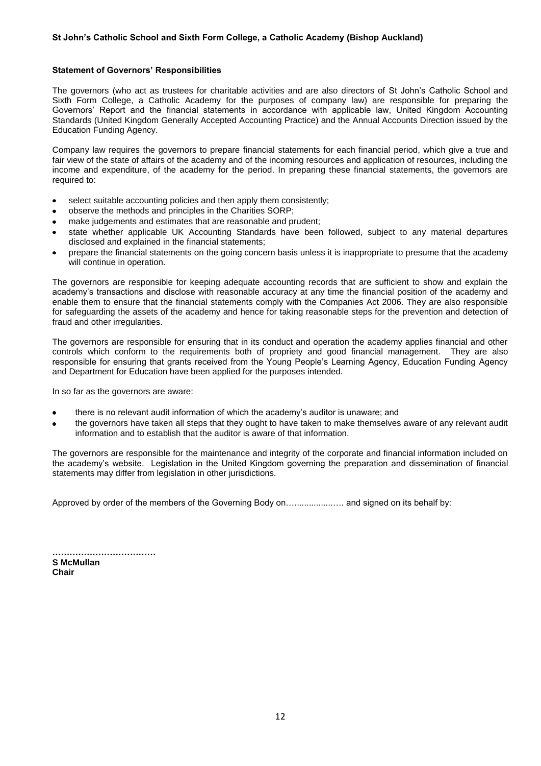#### **Statement of Governors' Responsibilities**

The governors (who act as trustees for charitable activities and are also directors of St John's Catholic School and Sixth Form College, a Catholic Academy for the purposes of company law) are responsible for preparing the Governors' Report and the financial statements in accordance with applicable law, United Kingdom Accounting Standards (United Kingdom Generally Accepted Accounting Practice) and the Annual Accounts Direction issued by the Education Funding Agency.

Company law requires the governors to prepare financial statements for each financial period, which give a true and fair view of the state of affairs of the academy and of the incoming resources and application of resources, including the income and expenditure, of the academy for the period. In preparing these financial statements, the governors are required to:

- select suitable accounting policies and then apply them consistently;  $\bullet$
- observe the methods and principles in the Charities SORP;  $\bullet$
- make judgements and estimates that are reasonable and prudent;
- state whether applicable UK Accounting Standards have been followed, subject to any material departures disclosed and explained in the financial statements;
- prepare the financial statements on the going concern basis unless it is inappropriate to presume that the academy will continue in operation.

The governors are responsible for keeping adequate accounting records that are sufficient to show and explain the academy's transactions and disclose with reasonable accuracy at any time the financial position of the academy and enable them to ensure that the financial statements comply with the Companies Act 2006. They are also responsible for safeguarding the assets of the academy and hence for taking reasonable steps for the prevention and detection of fraud and other irregularities.

The governors are responsible for ensuring that in its conduct and operation the academy applies financial and other controls which conform to the requirements both of propriety and good financial management. They are also responsible for ensuring that grants received from the Young People's Learning Agency, Education Funding Agency and Department for Education have been applied for the purposes intended.

In so far as the governors are aware:

- there is no relevant audit information of which the academy's auditor is unaware; and  $\bullet$
- the governors have taken all steps that they ought to have taken to make themselves aware of any relevant audit information and to establish that the auditor is aware of that information.

The governors are responsible for the maintenance and integrity of the corporate and financial information included on the academy's website. Legislation in the United Kingdom governing the preparation and dissemination of financial statements may differ from legislation in other jurisdictions.

Approved by order of the members of the Governing Body on…................…. and signed on its behalf by:

**……………………………… S McMullan Chair**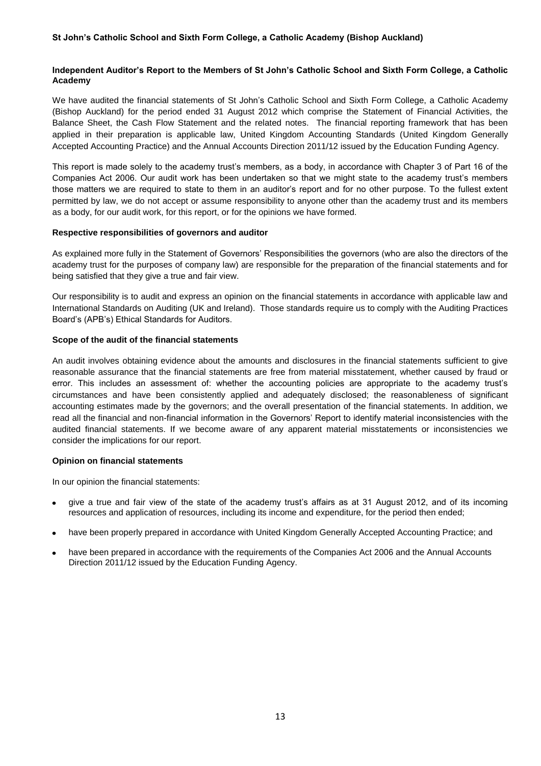# **Independent Auditor's Report to the Members of St John's Catholic School and Sixth Form College, a Catholic Academy**

We have audited the financial statements of St John's Catholic School and Sixth Form College, a Catholic Academy (Bishop Auckland) for the period ended 31 August 2012 which comprise the Statement of Financial Activities, the Balance Sheet, the Cash Flow Statement and the related notes. The financial reporting framework that has been applied in their preparation is applicable law, United Kingdom Accounting Standards (United Kingdom Generally Accepted Accounting Practice) and the Annual Accounts Direction 2011/12 issued by the Education Funding Agency.

This report is made solely to the academy trust's members, as a body, in accordance with Chapter 3 of Part 16 of the Companies Act 2006. Our audit work has been undertaken so that we might state to the academy trust's members those matters we are required to state to them in an auditor's report and for no other purpose. To the fullest extent permitted by law, we do not accept or assume responsibility to anyone other than the academy trust and its members as a body, for our audit work, for this report, or for the opinions we have formed.

# **Respective responsibilities of governors and auditor**

As explained more fully in the Statement of Governors' Responsibilities the governors (who are also the directors of the academy trust for the purposes of company law) are responsible for the preparation of the financial statements and for being satisfied that they give a true and fair view.

Our responsibility is to audit and express an opinion on the financial statements in accordance with applicable law and International Standards on Auditing (UK and Ireland). Those standards require us to comply with the Auditing Practices Board's (APB's) Ethical Standards for Auditors.

# **Scope of the audit of the financial statements**

An audit involves obtaining evidence about the amounts and disclosures in the financial statements sufficient to give reasonable assurance that the financial statements are free from material misstatement, whether caused by fraud or error. This includes an assessment of: whether the accounting policies are appropriate to the academy trust's circumstances and have been consistently applied and adequately disclosed; the reasonableness of significant accounting estimates made by the governors; and the overall presentation of the financial statements. In addition, we read all the financial and non-financial information in the Governors' Report to identify material inconsistencies with the audited financial statements. If we become aware of any apparent material misstatements or inconsistencies we consider the implications for our report.

# **Opinion on financial statements**

In our opinion the financial statements:

- give a true and fair view of the state of the academy trust's affairs as at 31 August 2012, and of its incoming resources and application of resources, including its income and expenditure, for the period then ended;
- have been properly prepared in accordance with United Kingdom Generally Accepted Accounting Practice; and
- have been prepared in accordance with the requirements of the Companies Act 2006 and the Annual Accounts Direction 2011/12 issued by the Education Funding Agency.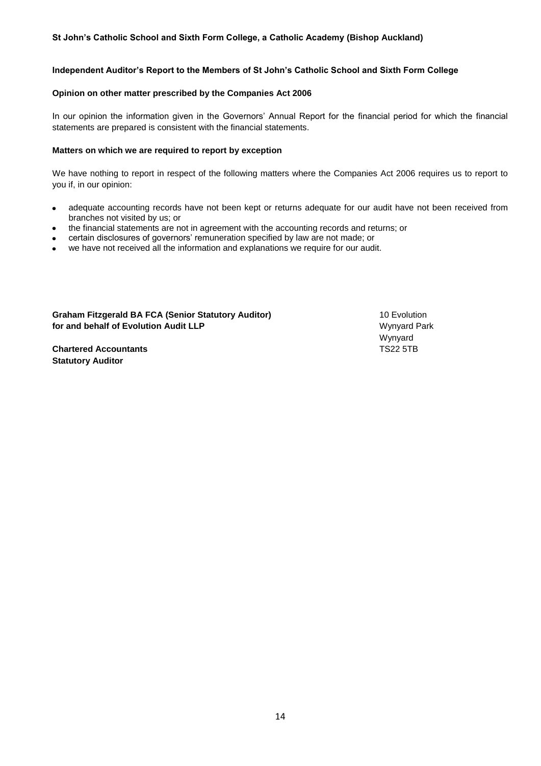# **Independent Auditor's Report to the Members of St John's Catholic School and Sixth Form College**

## **Opinion on other matter prescribed by the Companies Act 2006**

In our opinion the information given in the Governors' Annual Report for the financial period for which the financial statements are prepared is consistent with the financial statements.

## **Matters on which we are required to report by exception**

We have nothing to report in respect of the following matters where the Companies Act 2006 requires us to report to you if, in our opinion:

- adequate accounting records have not been kept or returns adequate for our audit have not been received from branches not visited by us; or
- the financial statements are not in agreement with the accounting records and returns; or
- certain disclosures of governors' remuneration specified by law are not made; or
- we have not received all the information and explanations we require for our audit.

**Graham Fitzgerald BA FCA (Senior Statutory Auditor)** 10 Evolution **for and behalf of Evolution Audit LLP** Municipal Audit Audit Audit Audit Audit Audit Audit Audit Audit Audit Audit Audit Audit Audit Audit Audit Audit Audit Audit Audit Audit Audit Audit Audit Audit Audit Audit Audit Audi

**Chartered Accountants** TS22 5TB **Statutory Auditor**

Wynyard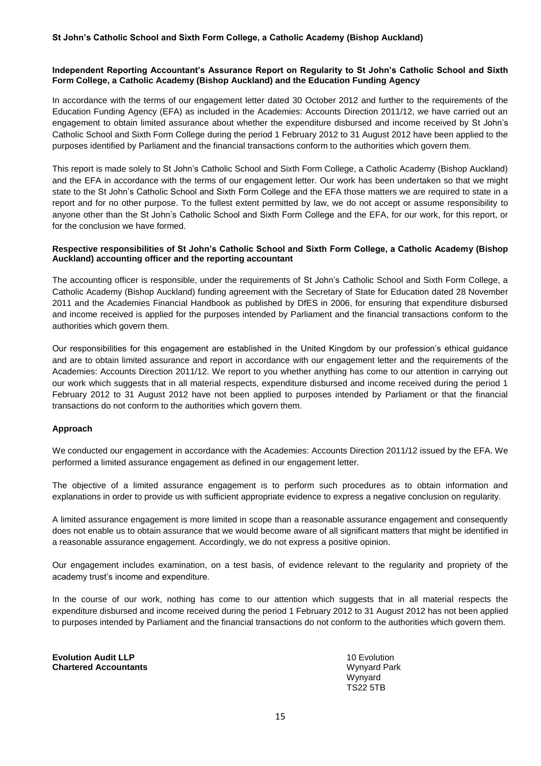# **Independent Reporting Accountant's Assurance Report on Regularity to St John's Catholic School and Sixth Form College, a Catholic Academy (Bishop Auckland) and the Education Funding Agency**

In accordance with the terms of our engagement letter dated 30 October 2012 and further to the requirements of the Education Funding Agency (EFA) as included in the Academies: Accounts Direction 2011/12, we have carried out an engagement to obtain limited assurance about whether the expenditure disbursed and income received by St John's Catholic School and Sixth Form College during the period 1 February 2012 to 31 August 2012 have been applied to the purposes identified by Parliament and the financial transactions conform to the authorities which govern them.

This report is made solely to St John's Catholic School and Sixth Form College, a Catholic Academy (Bishop Auckland) and the EFA in accordance with the terms of our engagement letter. Our work has been undertaken so that we might state to the St John's Catholic School and Sixth Form College and the EFA those matters we are required to state in a report and for no other purpose. To the fullest extent permitted by law, we do not accept or assume responsibility to anyone other than the St John's Catholic School and Sixth Form College and the EFA, for our work, for this report, or for the conclusion we have formed.

# **Respective responsibilities of St John's Catholic School and Sixth Form College, a Catholic Academy (Bishop Auckland) accounting officer and the reporting accountant**

The accounting officer is responsible, under the requirements of St John's Catholic School and Sixth Form College, a Catholic Academy (Bishop Auckland) funding agreement with the Secretary of State for Education dated 28 November 2011 and the Academies Financial Handbook as published by DfES in 2006, for ensuring that expenditure disbursed and income received is applied for the purposes intended by Parliament and the financial transactions conform to the authorities which govern them.

Our responsibilities for this engagement are established in the United Kingdom by our profession's ethical guidance and are to obtain limited assurance and report in accordance with our engagement letter and the requirements of the Academies: Accounts Direction 2011/12. We report to you whether anything has come to our attention in carrying out our work which suggests that in all material respects, expenditure disbursed and income received during the period 1 February 2012 to 31 August 2012 have not been applied to purposes intended by Parliament or that the financial transactions do not conform to the authorities which govern them.

# **Approach**

We conducted our engagement in accordance with the Academies: Accounts Direction 2011/12 issued by the EFA. We performed a limited assurance engagement as defined in our engagement letter.

The objective of a limited assurance engagement is to perform such procedures as to obtain information and explanations in order to provide us with sufficient appropriate evidence to express a negative conclusion on regularity.

A limited assurance engagement is more limited in scope than a reasonable assurance engagement and consequently does not enable us to obtain assurance that we would become aware of all significant matters that might be identified in a reasonable assurance engagement. Accordingly, we do not express a positive opinion.

Our engagement includes examination, on a test basis, of evidence relevant to the regularity and propriety of the academy trust's income and expenditure.

In the course of our work, nothing has come to our attention which suggests that in all material respects the expenditure disbursed and income received during the period 1 February 2012 to 31 August 2012 has not been applied to purposes intended by Parliament and the financial transactions do not conform to the authorities which govern them.

**Evolution Audit LLP** 10 Evolution **Chartered Accountants Windows 2008 12 and 2009 12 and 2009 12 and 2009 12 and 2009 12 and 2009 12 and 2009 12 and 2009 12 and 2009 12 and 2009 12 and 2009 12 and 2009 12 and 2009 12 and 2009 12 and 2009 12 and 2009 12 a** 

Wynyard TS22 5TB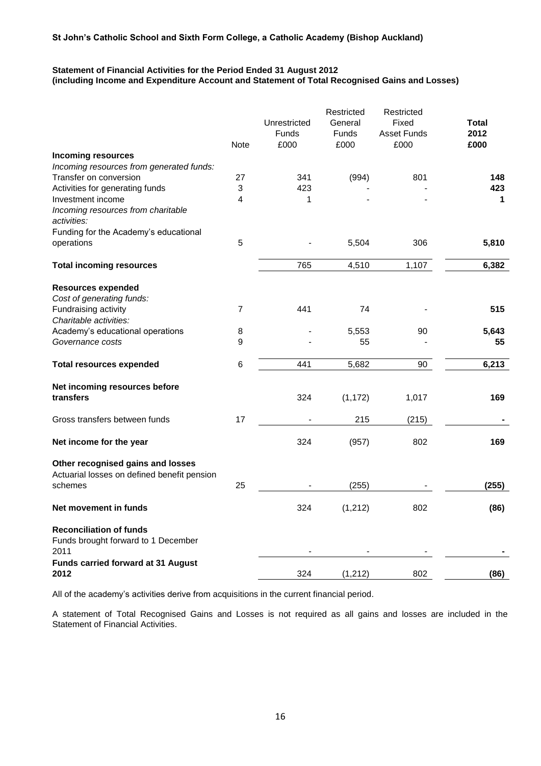# **Statement of Financial Activities for the Period Ended 31 August 2012 (including Income and Expenditure Account and Statement of Total Recognised Gains and Losses)**

|                                                                                             | <b>Note</b>    | Unrestricted<br>Funds<br>£000 | Restricted<br>General<br>Funds<br>£000 | Restricted<br>Fixed<br><b>Asset Funds</b><br>£000 | <b>Total</b><br>2012<br>£000 |
|---------------------------------------------------------------------------------------------|----------------|-------------------------------|----------------------------------------|---------------------------------------------------|------------------------------|
| <b>Incoming resources</b>                                                                   |                |                               |                                        |                                                   |                              |
| Incoming resources from generated funds:                                                    |                |                               |                                        |                                                   |                              |
| Transfer on conversion                                                                      | 27             | 341                           | (994)                                  | 801                                               | 148                          |
| Activities for generating funds                                                             | 3              | 423                           |                                        |                                                   | 423                          |
| Investment income<br>Incoming resources from charitable<br>activities:                      | 4              | 1                             |                                        |                                                   | 1                            |
| Funding for the Academy's educational                                                       |                |                               |                                        |                                                   |                              |
| operations                                                                                  | 5              |                               | 5,504                                  | 306                                               | 5,810                        |
| <b>Total incoming resources</b>                                                             |                | 765                           | 4,510                                  | 1,107                                             | 6,382                        |
| <b>Resources expended</b><br>Cost of generating funds:                                      |                |                               |                                        |                                                   |                              |
| Fundraising activity<br>Charitable activities:                                              | $\overline{7}$ | 441                           | 74                                     |                                                   | 515                          |
| Academy's educational operations                                                            | 8              |                               | 5,553                                  | 90                                                | 5.643                        |
| Governance costs                                                                            | 9              |                               | 55                                     |                                                   | 55                           |
| <b>Total resources expended</b>                                                             | 6              | 441                           | 5,682                                  | 90                                                | 6,213                        |
| Net incoming resources before<br>transfers                                                  |                | 324                           | (1, 172)                               | 1,017                                             | 169                          |
| Gross transfers between funds                                                               | 17             |                               | 215                                    | (215)                                             |                              |
| Net income for the year                                                                     |                | 324                           | (957)                                  | 802                                               | 169                          |
| Other recognised gains and losses<br>Actuarial losses on defined benefit pension<br>schemes | 25             |                               | (255)                                  |                                                   | (255)                        |
|                                                                                             |                |                               |                                        |                                                   |                              |
| Net movement in funds                                                                       |                | 324                           | (1, 212)                               | 802                                               | (86)                         |
| <b>Reconciliation of funds</b><br>Funds brought forward to 1 December<br>2011               |                |                               |                                        |                                                   |                              |
| Funds carried forward at 31 August                                                          |                | 324                           |                                        |                                                   |                              |
| 2012                                                                                        |                |                               | (1, 212)                               | 802                                               | (86)                         |

All of the academy's activities derive from acquisitions in the current financial period.

A statement of Total Recognised Gains and Losses is not required as all gains and losses are included in the Statement of Financial Activities.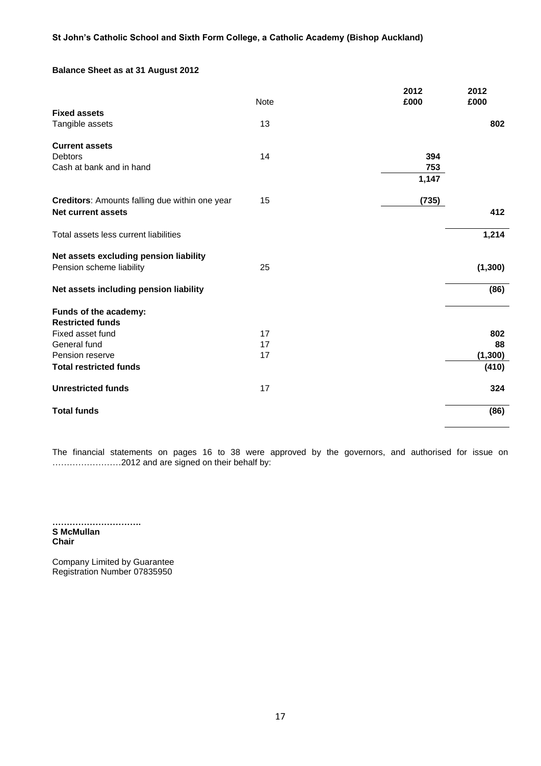# **Balance Sheet as at 31 August 2012**

|                                                | <b>Note</b> | 2012<br>£000 | 2012<br>£000 |
|------------------------------------------------|-------------|--------------|--------------|
| <b>Fixed assets</b>                            |             |              |              |
| Tangible assets                                | 13          |              | 802          |
|                                                |             |              |              |
| <b>Current assets</b>                          |             |              |              |
| <b>Debtors</b>                                 | 14          | 394          |              |
| Cash at bank and in hand                       |             | 753          |              |
|                                                |             | 1,147        |              |
| Creditors: Amounts falling due within one year | 15          | (735)        |              |
| Net current assets                             |             |              | 412          |
| Total assets less current liabilities          |             |              | 1,214        |
| Net assets excluding pension liability         |             |              |              |
| Pension scheme liability                       | 25          |              | (1,300)      |
| Net assets including pension liability         |             |              | (86)         |
| Funds of the academy:                          |             |              |              |
| <b>Restricted funds</b>                        |             |              |              |
| Fixed asset fund                               | 17          |              | 802          |
| General fund                                   | 17          |              | 88           |
| Pension reserve                                | 17          |              | (1, 300)     |
| <b>Total restricted funds</b>                  |             |              | (410)        |
| <b>Unrestricted funds</b>                      | 17          |              | 324          |
| <b>Total funds</b>                             |             |              | (86)         |
|                                                |             |              |              |

The financial statements on pages 16 to 38 were approved by the governors, and authorised for issue on ……………………2012 and are signed on their behalf by:

**…………………………. S McMullan Chair**

Company Limited by Guarantee Registration Number 07835950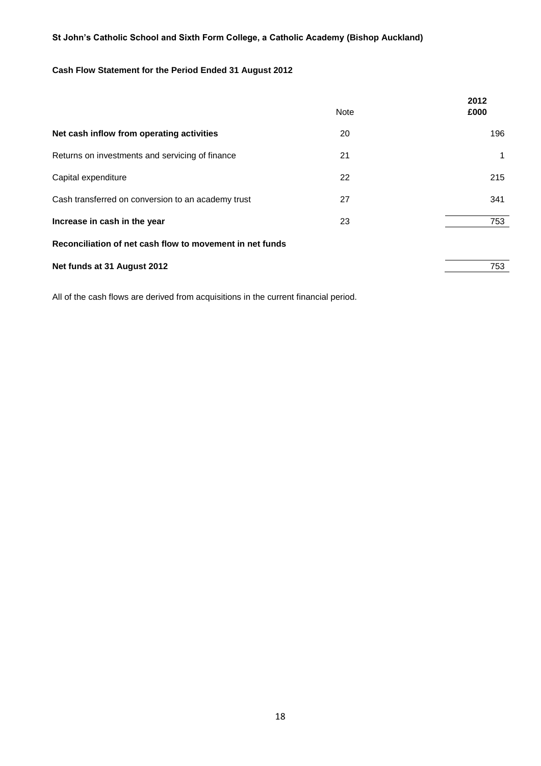# **Cash Flow Statement for the Period Ended 31 August 2012**

| <b>Note</b> | 2012<br>£000 |
|-------------|--------------|
| 20          | 196          |
| 21          | 1            |
| 22          | 215          |
| 27          | 341          |
| 23          | 753          |
|             |              |
|             | 753          |
|             |              |

All of the cash flows are derived from acquisitions in the current financial period.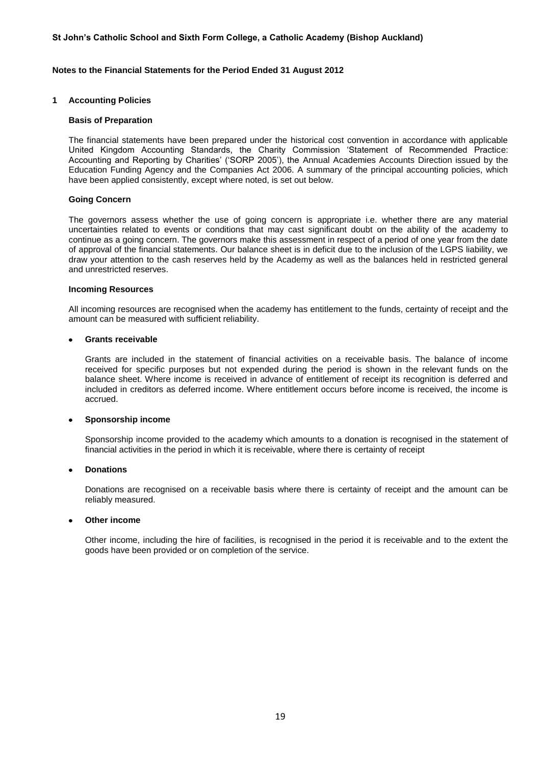#### **Notes to the Financial Statements for the Period Ended 31 August 2012**

#### **1 Accounting Policies**

#### **Basis of Preparation**

The financial statements have been prepared under the historical cost convention in accordance with applicable United Kingdom Accounting Standards, the Charity Commission 'Statement of Recommended Practice: Accounting and Reporting by Charities' ('SORP 2005'), the Annual Academies Accounts Direction issued by the Education Funding Agency and the Companies Act 2006. A summary of the principal accounting policies, which have been applied consistently, except where noted, is set out below.

#### **Going Concern**

The governors assess whether the use of going concern is appropriate i.e. whether there are any material uncertainties related to events or conditions that may cast significant doubt on the ability of the academy to continue as a going concern. The governors make this assessment in respect of a period of one year from the date of approval of the financial statements. Our balance sheet is in deficit due to the inclusion of the LGPS liability, we draw your attention to the cash reserves held by the Academy as well as the balances held in restricted general and unrestricted reserves.

#### **Incoming Resources**

All incoming resources are recognised when the academy has entitlement to the funds, certainty of receipt and the amount can be measured with sufficient reliability.

#### **Grants receivable**

Grants are included in the statement of financial activities on a receivable basis. The balance of income received for specific purposes but not expended during the period is shown in the relevant funds on the balance sheet. Where income is received in advance of entitlement of receipt its recognition is deferred and included in creditors as deferred income. Where entitlement occurs before income is received, the income is accrued.

#### **Sponsorship income**

Sponsorship income provided to the academy which amounts to a donation is recognised in the statement of financial activities in the period in which it is receivable, where there is certainty of receipt

#### **Donations**

Donations are recognised on a receivable basis where there is certainty of receipt and the amount can be reliably measured.

#### **Other income**

Other income, including the hire of facilities, is recognised in the period it is receivable and to the extent the goods have been provided or on completion of the service.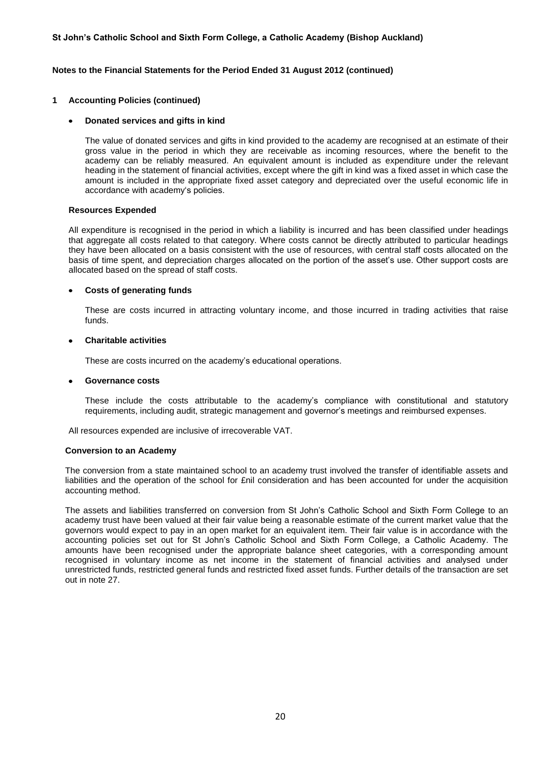#### **Notes to the Financial Statements for the Period Ended 31 August 2012 (continued)**

#### **1 Accounting Policies (continued)**

#### **Donated services and gifts in kind**

The value of donated services and gifts in kind provided to the academy are recognised at an estimate of their gross value in the period in which they are receivable as incoming resources, where the benefit to the academy can be reliably measured. An equivalent amount is included as expenditure under the relevant heading in the statement of financial activities, except where the gift in kind was a fixed asset in which case the amount is included in the appropriate fixed asset category and depreciated over the useful economic life in accordance with academy's policies.

#### **Resources Expended**

All expenditure is recognised in the period in which a liability is incurred and has been classified under headings that aggregate all costs related to that category. Where costs cannot be directly attributed to particular headings they have been allocated on a basis consistent with the use of resources, with central staff costs allocated on the basis of time spent, and depreciation charges allocated on the portion of the asset's use. Other support costs are allocated based on the spread of staff costs.

#### **Costs of generating funds**  $\bullet$

These are costs incurred in attracting voluntary income, and those incurred in trading activities that raise funds.

#### **Charitable activities**

These are costs incurred on the academy's educational operations.

#### **Governance costs**

These include the costs attributable to the academy's compliance with constitutional and statutory requirements, including audit, strategic management and governor's meetings and reimbursed expenses.

All resources expended are inclusive of irrecoverable VAT.

#### **Conversion to an Academy**

The conversion from a state maintained school to an academy trust involved the transfer of identifiable assets and liabilities and the operation of the school for £nil consideration and has been accounted for under the acquisition accounting method.

The assets and liabilities transferred on conversion from St John's Catholic School and Sixth Form College to an academy trust have been valued at their fair value being a reasonable estimate of the current market value that the governors would expect to pay in an open market for an equivalent item. Their fair value is in accordance with the accounting policies set out for St John's Catholic School and Sixth Form College, a Catholic Academy. The amounts have been recognised under the appropriate balance sheet categories, with a corresponding amount recognised in voluntary income as net income in the statement of financial activities and analysed under unrestricted funds, restricted general funds and restricted fixed asset funds. Further details of the transaction are set out in note 27.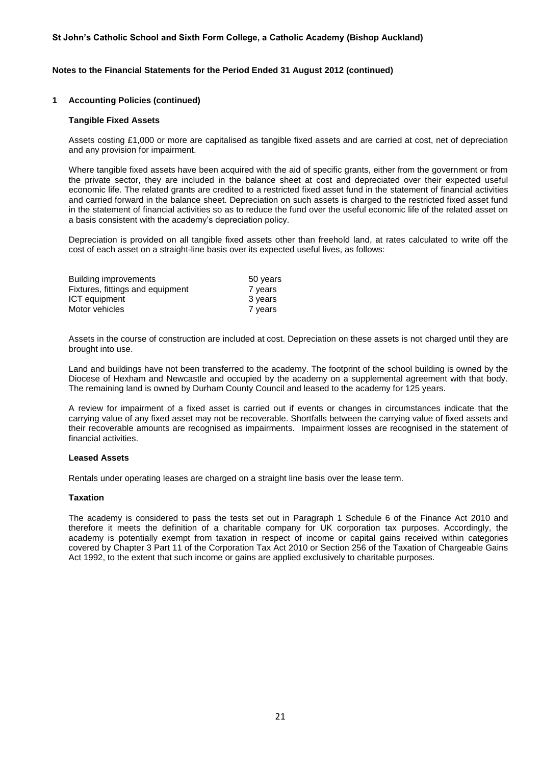#### **Notes to the Financial Statements for the Period Ended 31 August 2012 (continued)**

#### **1 Accounting Policies (continued)**

#### **Tangible Fixed Assets**

Assets costing £1,000 or more are capitalised as tangible fixed assets and are carried at cost, net of depreciation and any provision for impairment.

Where tangible fixed assets have been acquired with the aid of specific grants, either from the government or from the private sector, they are included in the balance sheet at cost and depreciated over their expected useful economic life. The related grants are credited to a restricted fixed asset fund in the statement of financial activities and carried forward in the balance sheet. Depreciation on such assets is charged to the restricted fixed asset fund in the statement of financial activities so as to reduce the fund over the useful economic life of the related asset on a basis consistent with the academy's depreciation policy.

Depreciation is provided on all tangible fixed assets other than freehold land, at rates calculated to write off the cost of each asset on a straight-line basis over its expected useful lives, as follows:

| Building improvements            | 50 years |
|----------------------------------|----------|
| Fixtures, fittings and equipment | 7 years  |
| ICT equipment                    | 3 years  |
| Motor vehicles                   | 7 years  |

Assets in the course of construction are included at cost. Depreciation on these assets is not charged until they are brought into use.

Land and buildings have not been transferred to the academy. The footprint of the school building is owned by the Diocese of Hexham and Newcastle and occupied by the academy on a supplemental agreement with that body. The remaining land is owned by Durham County Council and leased to the academy for 125 years.

A review for impairment of a fixed asset is carried out if events or changes in circumstances indicate that the carrying value of any fixed asset may not be recoverable. Shortfalls between the carrying value of fixed assets and their recoverable amounts are recognised as impairments. Impairment losses are recognised in the statement of financial activities.

#### **Leased Assets**

Rentals under operating leases are charged on a straight line basis over the lease term.

#### **Taxation**

The academy is considered to pass the tests set out in Paragraph 1 Schedule 6 of the Finance Act 2010 and therefore it meets the definition of a charitable company for UK corporation tax purposes. Accordingly, the academy is potentially exempt from taxation in respect of income or capital gains received within categories covered by Chapter 3 Part 11 of the Corporation Tax Act 2010 or Section 256 of the Taxation of Chargeable Gains Act 1992, to the extent that such income or gains are applied exclusively to charitable purposes.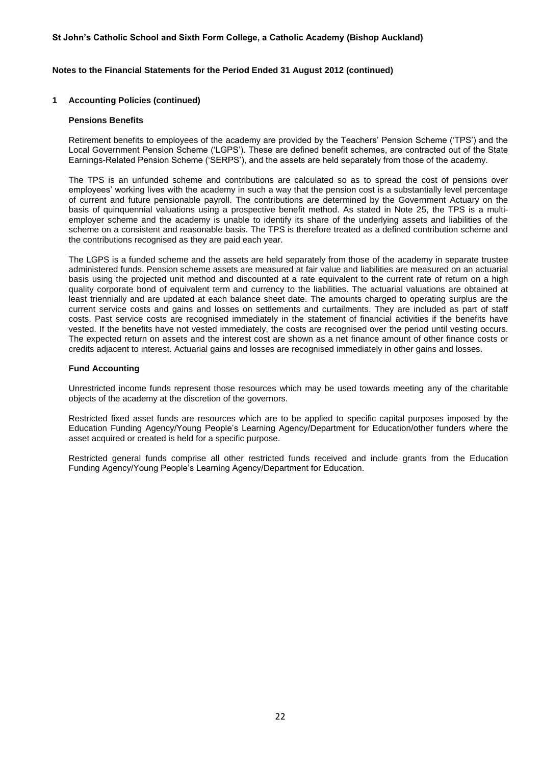#### **Notes to the Financial Statements for the Period Ended 31 August 2012 (continued)**

#### **1 Accounting Policies (continued)**

#### **Pensions Benefits**

Retirement benefits to employees of the academy are provided by the Teachers' Pension Scheme ('TPS') and the Local Government Pension Scheme ('LGPS'). These are defined benefit schemes, are contracted out of the State Earnings-Related Pension Scheme ('SERPS'), and the assets are held separately from those of the academy.

The TPS is an unfunded scheme and contributions are calculated so as to spread the cost of pensions over employees' working lives with the academy in such a way that the pension cost is a substantially level percentage of current and future pensionable payroll. The contributions are determined by the Government Actuary on the basis of quinquennial valuations using a prospective benefit method. As stated in Note 25, the TPS is a multiemployer scheme and the academy is unable to identify its share of the underlying assets and liabilities of the scheme on a consistent and reasonable basis. The TPS is therefore treated as a defined contribution scheme and the contributions recognised as they are paid each year.

The LGPS is a funded scheme and the assets are held separately from those of the academy in separate trustee administered funds. Pension scheme assets are measured at fair value and liabilities are measured on an actuarial basis using the projected unit method and discounted at a rate equivalent to the current rate of return on a high quality corporate bond of equivalent term and currency to the liabilities. The actuarial valuations are obtained at least triennially and are updated at each balance sheet date. The amounts charged to operating surplus are the current service costs and gains and losses on settlements and curtailments. They are included as part of staff costs. Past service costs are recognised immediately in the statement of financial activities if the benefits have vested. If the benefits have not vested immediately, the costs are recognised over the period until vesting occurs. The expected return on assets and the interest cost are shown as a net finance amount of other finance costs or credits adjacent to interest. Actuarial gains and losses are recognised immediately in other gains and losses.

#### **Fund Accounting**

Unrestricted income funds represent those resources which may be used towards meeting any of the charitable objects of the academy at the discretion of the governors.

Restricted fixed asset funds are resources which are to be applied to specific capital purposes imposed by the Education Funding Agency/Young People's Learning Agency/Department for Education/other funders where the asset acquired or created is held for a specific purpose.

Restricted general funds comprise all other restricted funds received and include grants from the Education Funding Agency/Young People's Learning Agency/Department for Education.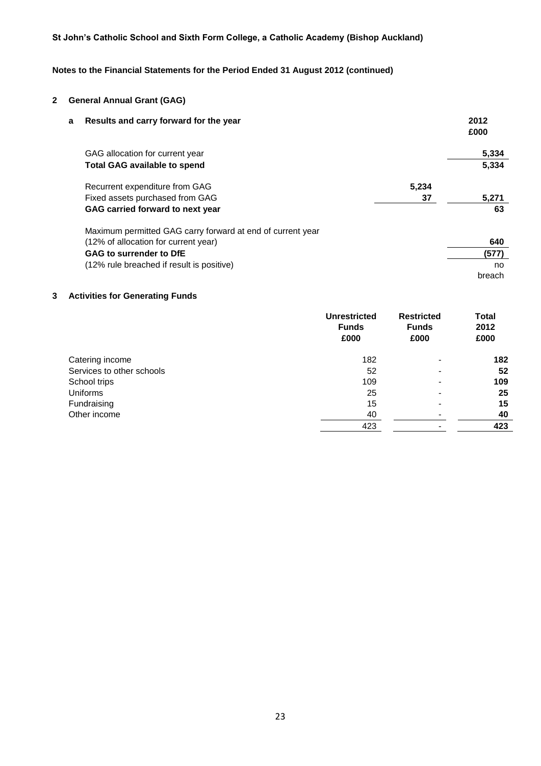# **Notes to the Financial Statements for the Period Ended 31 August 2012 (continued)**

# **2 General Annual Grant (GAG)**

| a | Results and carry forward for the year                     |       | 2012<br>£000 |
|---|------------------------------------------------------------|-------|--------------|
|   | GAG allocation for current year                            |       | 5,334        |
|   | <b>Total GAG available to spend</b>                        |       | 5.334        |
|   | Recurrent expenditure from GAG                             | 5,234 |              |
|   | Fixed assets purchased from GAG                            | 37    | 5,271        |
|   | GAG carried forward to next year                           |       | 63           |
|   | Maximum permitted GAG carry forward at end of current year |       |              |
|   | (12% of allocation for current year)                       |       | 640          |
|   | GAG to surrender to DfE                                    |       | (577)        |
|   | (12% rule breached if result is positive)                  |       | no           |
|   |                                                            |       | breach       |

# **3 Activities for Generating Funds**

|                           | <b>Unrestricted</b><br><b>Funds</b><br>£000 | <b>Restricted</b><br><b>Funds</b><br>£000 | <b>Total</b><br>2012<br>£000 |
|---------------------------|---------------------------------------------|-------------------------------------------|------------------------------|
| Catering income           | 182                                         | $\overline{\phantom{0}}$                  | 182                          |
| Services to other schools | 52                                          | $\overline{\phantom{0}}$                  | 52                           |
| School trips              | 109                                         |                                           | 109                          |
| Uniforms                  | 25                                          |                                           | 25                           |
| Fundraising               | 15                                          |                                           | 15                           |
| Other income              | 40                                          |                                           | 40                           |
|                           | 423                                         |                                           | 423                          |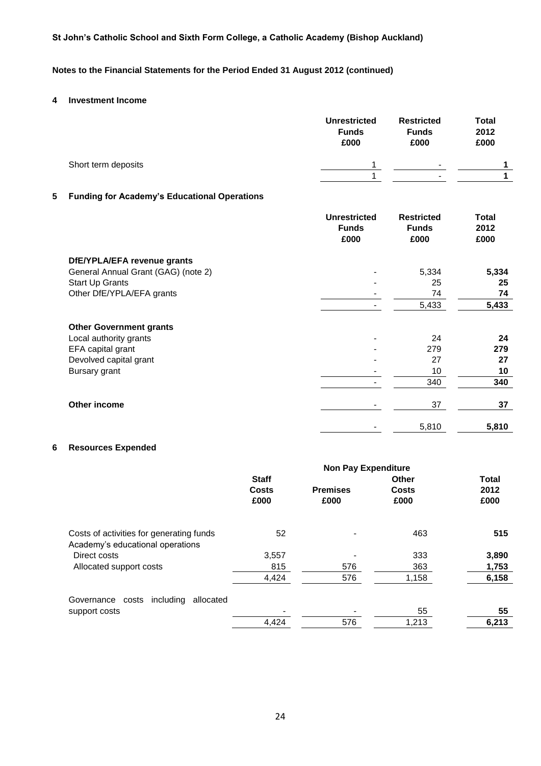# **Notes to the Financial Statements for the Period Ended 31 August 2012 (continued)**

# **4 Investment Income**

|   |                                                     | <b>Unrestricted</b><br><b>Funds</b><br>£000 | <b>Restricted</b><br><b>Funds</b><br>£000 | <b>Total</b><br>2012<br>£000 |
|---|-----------------------------------------------------|---------------------------------------------|-------------------------------------------|------------------------------|
|   | Short term deposits                                 | 1                                           |                                           | 1                            |
|   |                                                     | 1                                           |                                           | 1                            |
| 5 | <b>Funding for Academy's Educational Operations</b> |                                             |                                           |                              |
|   |                                                     | <b>Unrestricted</b><br><b>Funds</b><br>£000 | <b>Restricted</b><br><b>Funds</b><br>£000 | <b>Total</b><br>2012<br>£000 |
|   | DfE/YPLA/EFA revenue grants                         |                                             |                                           |                              |
|   | General Annual Grant (GAG) (note 2)                 |                                             | 5,334                                     | 5,334                        |
|   | <b>Start Up Grants</b>                              |                                             | 25<br>74                                  | 25<br>74                     |
|   | Other DfE/YPLA/EFA grants                           |                                             | 5,433                                     | 5,433                        |
|   | <b>Other Government grants</b>                      |                                             |                                           |                              |
|   | Local authority grants                              |                                             | 24                                        | 24                           |
|   | EFA capital grant                                   |                                             | 279                                       | 279                          |
|   | Devolved capital grant                              |                                             | 27                                        | 27                           |
|   | Bursary grant                                       |                                             | 10                                        | 10                           |
|   |                                                     |                                             | 340                                       | 340                          |
|   | <b>Other income</b>                                 |                                             | 37                                        | 37                           |
|   |                                                     |                                             | 5,810                                     | 5,810                        |

# **6 Resources Expended**

|                                                                              |                               | <b>Non Pay Expenditure</b> |                               |                              |
|------------------------------------------------------------------------------|-------------------------------|----------------------------|-------------------------------|------------------------------|
|                                                                              | <b>Staff</b><br>Costs<br>£000 | <b>Premises</b><br>£000    | <b>Other</b><br>Costs<br>£000 | <b>Total</b><br>2012<br>£000 |
| Costs of activities for generating funds<br>Academy's educational operations | 52                            |                            | 463                           | 515                          |
| Direct costs                                                                 | 3,557                         |                            | 333                           | 3,890                        |
| Allocated support costs                                                      | 815                           | 576                        | 363                           | 1,753                        |
|                                                                              | 4,424                         | 576                        | 1,158                         | 6,158                        |
| including<br>allocated<br>Governance costs                                   |                               |                            |                               |                              |
| support costs                                                                |                               |                            | 55                            | 55                           |
|                                                                              | 4,424                         | 576                        | 1,213                         | 6,213                        |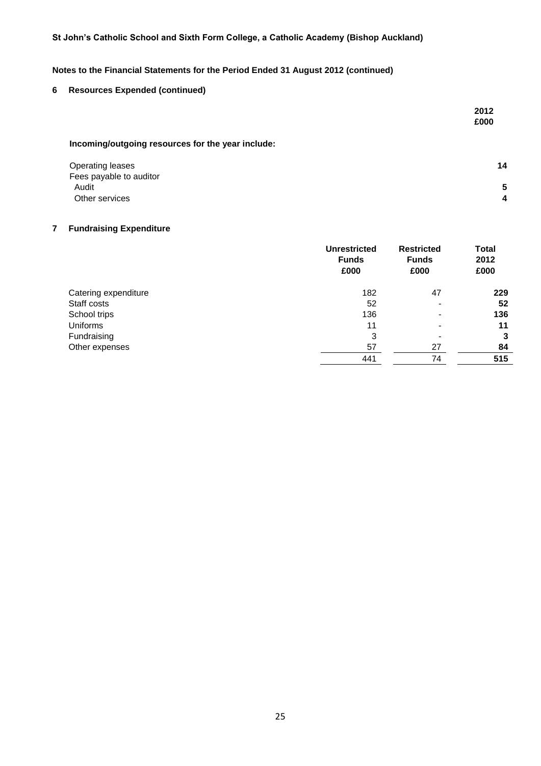# **Notes to the Financial Statements for the Period Ended 31 August 2012 (continued)**

# **6 Resources Expended (continued)**

|                                                   | 2012<br>£000 |
|---------------------------------------------------|--------------|
| Incoming/outgoing resources for the year include: |              |

| Operating leases        | 14 |
|-------------------------|----|
| Fees payable to auditor |    |
| Audit                   | 5  |
| Other services          | 4  |

# **7 Fundraising Expenditure**

|                      | <b>Unrestricted</b><br><b>Funds</b><br>£000 | <b>Restricted</b><br><b>Funds</b><br>£000 | <b>Total</b><br>2012<br>£000 |
|----------------------|---------------------------------------------|-------------------------------------------|------------------------------|
| Catering expenditure | 182                                         | 47                                        | 229                          |
| Staff costs          | 52                                          |                                           | 52                           |
| School trips         | 136                                         |                                           | 136                          |
| <b>Uniforms</b>      | 11                                          |                                           | 11                           |
| Fundraising          | 3                                           | -                                         | 3                            |
| Other expenses       | 57                                          | 27                                        | 84                           |
|                      | 441                                         | 74                                        | 515                          |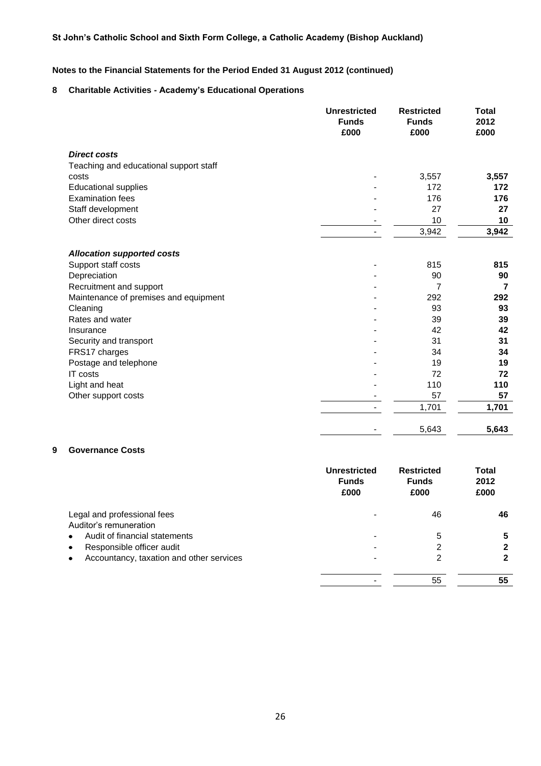# **Notes to the Financial Statements for the Period Ended 31 August 2012 (continued)**

# **8 Charitable Activities - Academy's Educational Operations**

|                                        | <b>Unrestricted</b><br><b>Funds</b><br>£000 | <b>Restricted</b><br><b>Funds</b><br>£000 | <b>Total</b><br>2012<br>£000 |
|----------------------------------------|---------------------------------------------|-------------------------------------------|------------------------------|
| <b>Direct costs</b>                    |                                             |                                           |                              |
| Teaching and educational support staff |                                             |                                           |                              |
| costs                                  |                                             | 3,557                                     | 3,557                        |
| <b>Educational supplies</b>            |                                             | 172                                       | 172                          |
| <b>Examination fees</b>                |                                             | 176                                       | 176                          |
| Staff development                      |                                             | 27                                        | 27                           |
| Other direct costs                     |                                             | 10                                        | 10                           |
|                                        |                                             | 3,942                                     | 3,942                        |
| <b>Allocation supported costs</b>      |                                             |                                           |                              |
| Support staff costs                    |                                             | 815                                       | 815                          |
| Depreciation                           |                                             | 90                                        | 90                           |
| Recruitment and support                |                                             | 7                                         | $\overline{7}$               |
| Maintenance of premises and equipment  |                                             | 292                                       | 292                          |
| Cleaning                               |                                             | 93                                        | 93                           |
| Rates and water                        |                                             | 39                                        | 39                           |
| Insurance                              |                                             | 42                                        | 42                           |
| Security and transport                 |                                             | 31                                        | 31                           |
| FRS17 charges                          |                                             | 34                                        | 34                           |
| Postage and telephone                  |                                             | 19                                        | 19                           |
| IT costs                               |                                             | 72                                        | 72                           |
| Light and heat                         |                                             | 110                                       | 110                          |
| Other support costs                    |                                             | 57                                        | 57                           |
|                                        |                                             | 1,701                                     | 1,701                        |
|                                        |                                             | 5,643                                     | 5,643                        |

# **9 Governance Costs**

|                                                         | <b>Unrestricted</b><br><b>Funds</b><br>£000 | <b>Restricted</b><br><b>Funds</b><br>£000 | Total<br>2012<br>£000 |
|---------------------------------------------------------|---------------------------------------------|-------------------------------------------|-----------------------|
| Legal and professional fees                             |                                             | 46                                        | 46                    |
| Auditor's remuneration<br>Audit of financial statements |                                             |                                           |                       |
| $\bullet$<br>Responsible officer audit<br>$\bullet$     |                                             | 5<br>2                                    | כי                    |
| Accountancy, taxation and other services<br>٠           |                                             | 2                                         | 2                     |
|                                                         |                                             | 55                                        | 55                    |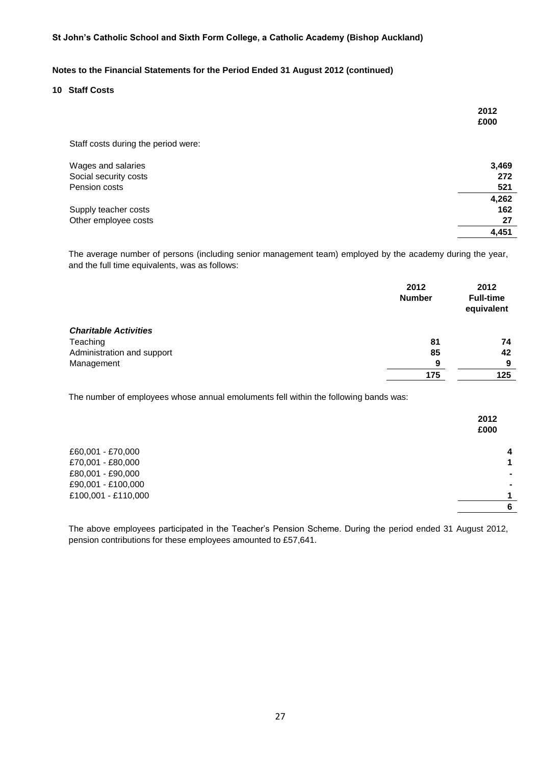# **Notes to the Financial Statements for the Period Ended 31 August 2012 (continued)**

# **10 Staff Costs**

|                                     | 2012<br>£000 |
|-------------------------------------|--------------|
| Staff costs during the period were: |              |
| Wages and salaries                  | 3,469        |
| Social security costs               | 272          |

| <b>Coolding Coolding Coold</b> | ---   |
|--------------------------------|-------|
| Pension costs                  | 521   |
|                                | 4,262 |
| Supply teacher costs           | 162   |
| Other employee costs           | 27    |
|                                | 4.451 |

The average number of persons (including senior management team) employed by the academy during the year, and the full time equivalents, was as follows:

|                              | 2012<br><b>Number</b> | 2012<br><b>Full-time</b><br>equivalent |
|------------------------------|-----------------------|----------------------------------------|
| <b>Charitable Activities</b> |                       |                                        |
| Teaching                     | 81                    | 74                                     |
| Administration and support   | 85                    | 42                                     |
| Management                   | 9                     | 9                                      |
|                              | 175                   | 125                                    |
|                              |                       |                                        |

The number of employees whose annual emoluments fell within the following bands was:

|                     | 2012<br>£000 |
|---------------------|--------------|
| £60,001 - £70,000   | 4            |
| £70,001 - £80,000   | 1            |
| £80,001 - £90,000   | ۰            |
| £90,001 - £100,000  | ۰            |
| £100,001 - £110,000 | 1            |
|                     | 6            |
|                     |              |

The above employees participated in the Teacher's Pension Scheme. During the period ended 31 August 2012, pension contributions for these employees amounted to £57,641.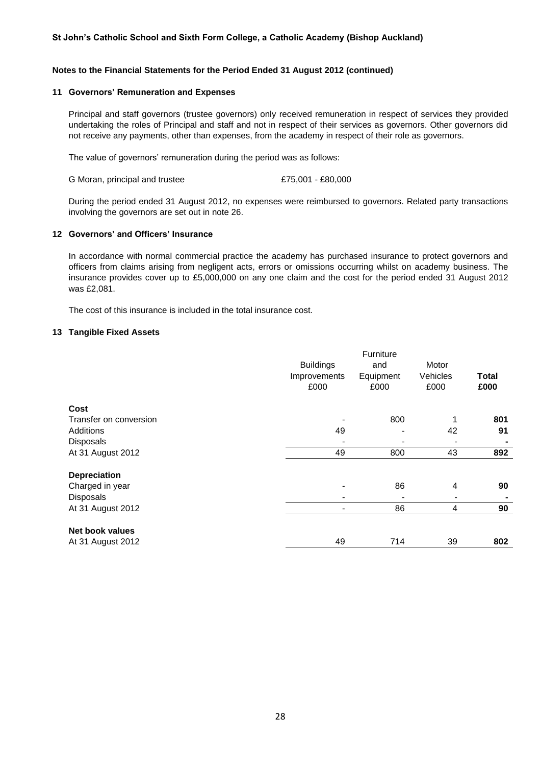# **Notes to the Financial Statements for the Period Ended 31 August 2012 (continued)**

#### **11 Governors' Remuneration and Expenses**

Principal and staff governors (trustee governors) only received remuneration in respect of services they provided undertaking the roles of Principal and staff and not in respect of their services as governors. Other governors did not receive any payments, other than expenses, from the academy in respect of their role as governors.

The value of governors' remuneration during the period was as follows:

G Moran, principal and trustee  $£75,001 - £80,000$ 

During the period ended 31 August 2012, no expenses were reimbursed to governors. Related party transactions involving the governors are set out in note 26.

# **12 Governors' and Officers' Insurance**

In accordance with normal commercial practice the academy has purchased insurance to protect governors and officers from claims arising from negligent acts, errors or omissions occurring whilst on academy business. The insurance provides cover up to £5,000,000 on any one claim and the cost for the period ended 31 August 2012 was £2,081.

The cost of this insurance is included in the total insurance cost.

# **13 Tangible Fixed Assets**

|                        |                          | Furniture                |                                                                                                                                                              |              |
|------------------------|--------------------------|--------------------------|--------------------------------------------------------------------------------------------------------------------------------------------------------------|--------------|
|                        | <b>Buildings</b>         | and                      | Motor                                                                                                                                                        |              |
|                        | Improvements             | Equipment                | Vehicles                                                                                                                                                     | <b>Total</b> |
|                        | £000                     | £000                     | £000                                                                                                                                                         | £000         |
| Cost                   |                          |                          |                                                                                                                                                              |              |
| Transfer on conversion |                          | 800                      | 1                                                                                                                                                            | 801          |
| Additions              | 49                       | $\overline{\phantom{a}}$ | 42                                                                                                                                                           | 91           |
| <b>Disposals</b>       |                          | $\overline{\phantom{a}}$ |                                                                                                                                                              |              |
| At 31 August 2012      | 49                       | 800                      | 43                                                                                                                                                           | 892          |
| <b>Depreciation</b>    |                          |                          |                                                                                                                                                              |              |
| Charged in year        | $\blacksquare$           | 86                       | 4                                                                                                                                                            | 90           |
| <b>Disposals</b>       | $\overline{\phantom{a}}$ | $\overline{\phantom{a}}$ | $\hskip1.6pt\hskip1.6pt\hskip1.6pt\hskip1.6pt\hskip1.6pt\hskip1.6pt\hskip1.6pt\hskip1.6pt\hskip1.6pt\hskip1.6pt\hskip1.6pt\hskip1.6pt\hskip1.6pt\hskip1.6pt$ |              |
| At 31 August 2012      | $\overline{a}$           | 86                       | 4                                                                                                                                                            | 90           |
| <b>Net book values</b> |                          |                          |                                                                                                                                                              |              |
| At 31 August 2012      | 49                       | 714                      | 39                                                                                                                                                           | 802          |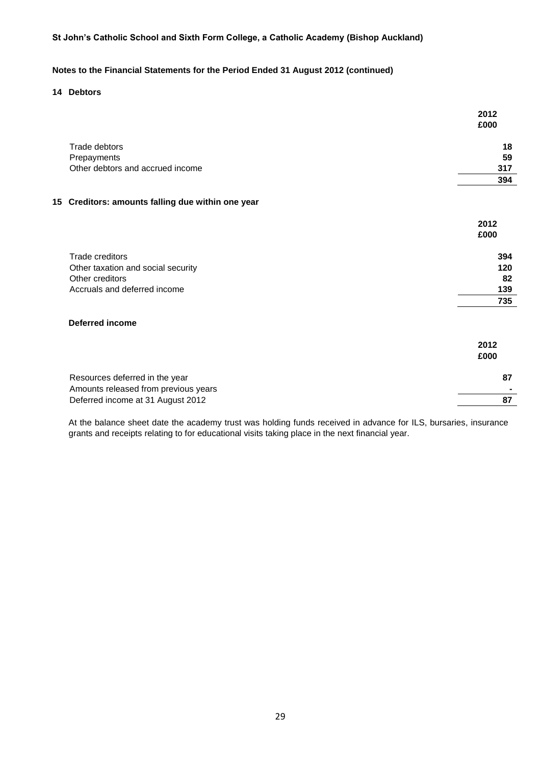# **Notes to the Financial Statements for the Period Ended 31 August 2012 (continued)**

# **14 Debtors**

|                                                   | 2012<br>£000 |
|---------------------------------------------------|--------------|
| Trade debtors                                     | 18           |
| Prepayments                                       | 59           |
| Other debtors and accrued income                  | 317          |
|                                                   | 394          |
| 15 Creditors: amounts falling due within one year |              |
|                                                   | 2012<br>£000 |
| Trade creditors                                   | 394          |
| Other taxation and social security                | 120          |
| Other creditors                                   | 82           |
| Accruals and deferred income                      | 139          |

# **Deferred income**

|                                      | 2012<br>£000 |
|--------------------------------------|--------------|
| Resources deferred in the year       | 87           |
| Amounts released from previous years |              |
| Deferred income at 31 August 2012    |              |

**735**

At the balance sheet date the academy trust was holding funds received in advance for ILS, bursaries, insurance grants and receipts relating to for educational visits taking place in the next financial year.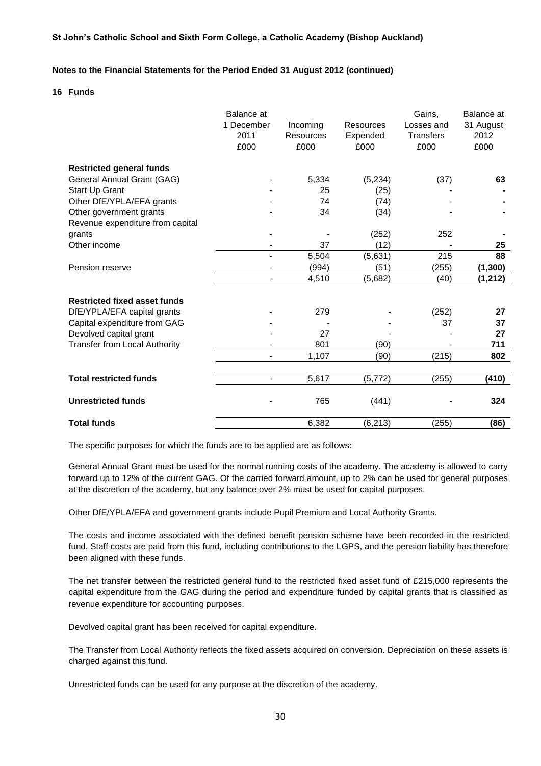#### **Notes to the Financial Statements for the Period Ended 31 August 2012 (continued)**

#### **16 Funds**

|                                      | Balance at<br>1 December<br>2011<br>£000 | Incoming<br><b>Resources</b><br>£000 | Resources<br>Expended<br>£000 | Gains,<br>Losses and<br><b>Transfers</b><br>£000 | Balance at<br>31 August<br>2012<br>£000 |
|--------------------------------------|------------------------------------------|--------------------------------------|-------------------------------|--------------------------------------------------|-----------------------------------------|
| <b>Restricted general funds</b>      |                                          |                                      |                               |                                                  |                                         |
| General Annual Grant (GAG)           |                                          | 5,334                                | (5,234)                       | (37)                                             | 63                                      |
| Start Up Grant                       |                                          | 25                                   | (25)                          |                                                  |                                         |
| Other DfE/YPLA/EFA grants            |                                          | 74                                   | (74)                          |                                                  |                                         |
| Other government grants              |                                          | 34                                   | (34)                          |                                                  |                                         |
| Revenue expenditure from capital     |                                          |                                      |                               |                                                  |                                         |
| grants                               |                                          |                                      | (252)                         | 252                                              |                                         |
| Other income                         |                                          | 37                                   | (12)                          |                                                  | 25                                      |
|                                      | $\blacksquare$                           | 5,504                                | (5,631)                       | 215                                              | 88                                      |
| Pension reserve                      | $\overline{\phantom{a}}$                 | (994)                                | (51)                          | (255)                                            | (1, 300)                                |
|                                      | $\overline{a}$                           | 4,510                                | (5,682)                       | (40)                                             | (1, 212)                                |
| <b>Restricted fixed asset funds</b>  |                                          |                                      |                               |                                                  |                                         |
| DfE/YPLA/EFA capital grants          |                                          | 279                                  |                               | (252)                                            | 27                                      |
| Capital expenditure from GAG         |                                          |                                      |                               | 37                                               | 37                                      |
| Devolved capital grant               |                                          | 27                                   |                               |                                                  | 27                                      |
| <b>Transfer from Local Authority</b> | $\blacksquare$                           | 801                                  | (90)                          |                                                  | 711                                     |
|                                      |                                          | 1,107                                | (90)                          | (215)                                            | 802                                     |
|                                      |                                          |                                      |                               |                                                  |                                         |
| <b>Total restricted funds</b>        | $\overline{\phantom{a}}$                 | 5,617                                | (5, 772)                      | (255)                                            | (410)                                   |
| <b>Unrestricted funds</b>            |                                          | 765                                  | (441)                         |                                                  | 324                                     |
| <b>Total funds</b>                   |                                          | 6,382                                | (6, 213)                      | (255)                                            | (86)                                    |

The specific purposes for which the funds are to be applied are as follows:

General Annual Grant must be used for the normal running costs of the academy. The academy is allowed to carry forward up to 12% of the current GAG. Of the carried forward amount, up to 2% can be used for general purposes at the discretion of the academy, but any balance over 2% must be used for capital purposes.

Other DfE/YPLA/EFA and government grants include Pupil Premium and Local Authority Grants.

The costs and income associated with the defined benefit pension scheme have been recorded in the restricted fund. Staff costs are paid from this fund, including contributions to the LGPS, and the pension liability has therefore been aligned with these funds.

The net transfer between the restricted general fund to the restricted fixed asset fund of £215,000 represents the capital expenditure from the GAG during the period and expenditure funded by capital grants that is classified as revenue expenditure for accounting purposes.

Devolved capital grant has been received for capital expenditure.

The Transfer from Local Authority reflects the fixed assets acquired on conversion. Depreciation on these assets is charged against this fund.

Unrestricted funds can be used for any purpose at the discretion of the academy.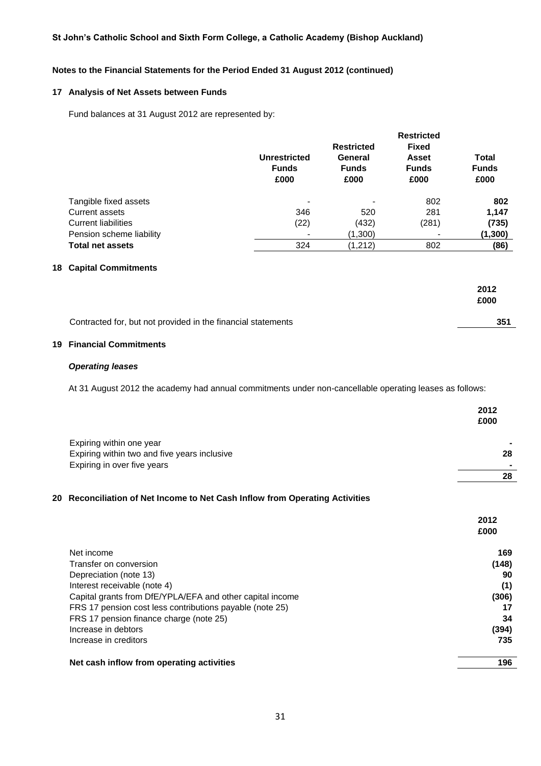# **Notes to the Financial Statements for the Period Ended 31 August 2012 (continued)**

#### **17 Analysis of Net Assets between Funds**

Fund balances at 31 August 2012 are represented by:

|                            |                                             | <b>Restricted</b>                                    |                                               |                                      |
|----------------------------|---------------------------------------------|------------------------------------------------------|-----------------------------------------------|--------------------------------------|
|                            | <b>Unrestricted</b><br><b>Funds</b><br>£000 | <b>Restricted</b><br>General<br><b>Funds</b><br>£000 | <b>Fixed</b><br>Asset<br><b>Funds</b><br>£000 | <b>Total</b><br><b>Funds</b><br>£000 |
| Tangible fixed assets      |                                             |                                                      | 802                                           | 802                                  |
| Current assets             | 346                                         | 520                                                  | 281                                           | 1,147                                |
| <b>Current liabilities</b> | (22)                                        | (432)                                                | (281)                                         | (735)                                |
| Pension scheme liability   |                                             | (1,300)                                              | $\overline{\phantom{0}}$                      | (1, 300)                             |
| <b>Total net assets</b>    | 324                                         | (1, 212)                                             | 802                                           | (86)                                 |

# **18 Capital Commitments**

|                                                              | 2012 |
|--------------------------------------------------------------|------|
|                                                              | £000 |
|                                                              |      |
| Contracted for, but not provided in the financial statements | 351  |

#### **19 Financial Commitments**

# *Operating leases*

At 31 August 2012 the academy had annual commitments under non-cancellable operating leases as follows:

|                                              | 2012 |
|----------------------------------------------|------|
|                                              | £000 |
| Expiring within one year                     |      |
| Expiring within two and five years inclusive | 28   |
| Expiring in over five years                  | -    |
|                                              | 28   |

### **20 Reconciliation of Net Income to Net Cash Inflow from Operating Activities**

|                                                                                                     | 2012<br>£000 |
|-----------------------------------------------------------------------------------------------------|--------------|
| Net income<br>Transfer on conversion                                                                | 169<br>(148) |
| Depreciation (note 13)                                                                              | 90           |
| Interest receivable (note 4)<br>Capital grants from DfE/YPLA/EFA and other capital income           | (1)<br>(306) |
| FRS 17 pension cost less contributions payable (note 25)<br>FRS 17 pension finance charge (note 25) | 17<br>34     |
| Increase in debtors                                                                                 | (394)        |
| Increase in creditors                                                                               | 735          |
| Net cash inflow from operating activities                                                           | 196          |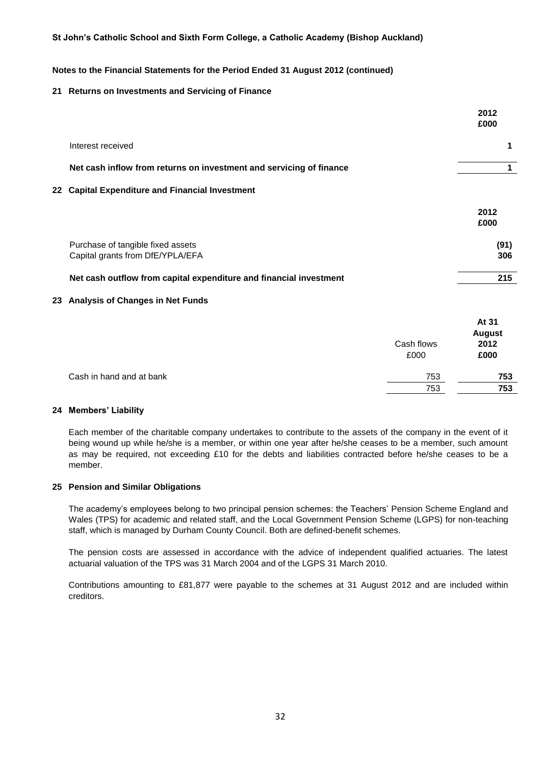#### **Notes to the Financial Statements for the Period Ended 31 August 2012 (continued)**

#### **21 Returns on Investments and Servicing of Finance**

|                                                                       | 2012<br>£000 |
|-----------------------------------------------------------------------|--------------|
| Interest received                                                     |              |
| Net cash inflow from returns on investment and servicing of finance   |              |
| 22 Capital Expenditure and Financial Investment                       |              |
|                                                                       | 2012<br>£000 |
| Purchase of tangible fixed assets<br>Capital grants from DfE/YPLA/EFA | (91)<br>306  |
| Net cash outflow from capital expenditure and financial investment    | 215          |
|                                                                       |              |

#### **23 Analysis of Changes in Net Funds**

|                          | Cash flows<br>£000 | At 31<br><b>August</b><br>2012<br>£000 |
|--------------------------|--------------------|----------------------------------------|
| Cash in hand and at bank | 753                | 753                                    |
|                          | 753                | 753                                    |

#### **24 Members' Liability**

Each member of the charitable company undertakes to contribute to the assets of the company in the event of it being wound up while he/she is a member, or within one year after he/she ceases to be a member, such amount as may be required, not exceeding £10 for the debts and liabilities contracted before he/she ceases to be a member.

#### **25 Pension and Similar Obligations**

The academy's employees belong to two principal pension schemes: the Teachers' Pension Scheme England and Wales (TPS) for academic and related staff, and the Local Government Pension Scheme (LGPS) for non-teaching staff, which is managed by Durham County Council. Both are defined-benefit schemes.

The pension costs are assessed in accordance with the advice of independent qualified actuaries. The latest actuarial valuation of the TPS was 31 March 2004 and of the LGPS 31 March 2010.

Contributions amounting to £81,877 were payable to the schemes at 31 August 2012 and are included within creditors.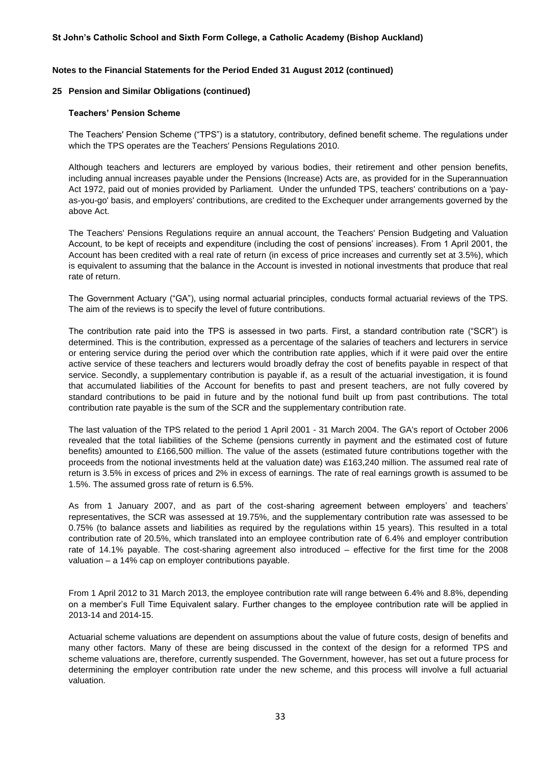#### **Notes to the Financial Statements for the Period Ended 31 August 2012 (continued)**

#### **25 Pension and Similar Obligations (continued)**

#### **Teachers' Pension Scheme**

The Teachers' Pension Scheme ("TPS") is a statutory, contributory, defined benefit scheme. The regulations under which the TPS operates are the Teachers' Pensions Regulations 2010.

Although teachers and lecturers are employed by various bodies, their retirement and other pension benefits, including annual increases payable under the Pensions (Increase) Acts are, as provided for in the Superannuation Act 1972, paid out of monies provided by Parliament. Under the unfunded TPS, teachers' contributions on a 'payas-you-go' basis, and employers' contributions, are credited to the Exchequer under arrangements governed by the above Act.

The Teachers' Pensions Regulations require an annual account, the Teachers' Pension Budgeting and Valuation Account, to be kept of receipts and expenditure (including the cost of pensions' increases). From 1 April 2001, the Account has been credited with a real rate of return (in excess of price increases and currently set at 3.5%), which is equivalent to assuming that the balance in the Account is invested in notional investments that produce that real rate of return.

The Government Actuary ("GA"), using normal actuarial principles, conducts formal actuarial reviews of the TPS. The aim of the reviews is to specify the level of future contributions.

The contribution rate paid into the TPS is assessed in two parts. First, a standard contribution rate ("SCR") is determined. This is the contribution, expressed as a percentage of the salaries of teachers and lecturers in service or entering service during the period over which the contribution rate applies, which if it were paid over the entire active service of these teachers and lecturers would broadly defray the cost of benefits payable in respect of that service. Secondly, a supplementary contribution is payable if, as a result of the actuarial investigation, it is found that accumulated liabilities of the Account for benefits to past and present teachers, are not fully covered by standard contributions to be paid in future and by the notional fund built up from past contributions. The total contribution rate payable is the sum of the SCR and the supplementary contribution rate.

The last valuation of the TPS related to the period 1 April 2001 - 31 March 2004. The GA's report of October 2006 revealed that the total liabilities of the Scheme (pensions currently in payment and the estimated cost of future benefits) amounted to £166,500 million. The value of the assets (estimated future contributions together with the proceeds from the notional investments held at the valuation date) was £163,240 million. The assumed real rate of return is 3.5% in excess of prices and 2% in excess of earnings. The rate of real earnings growth is assumed to be 1.5%. The assumed gross rate of return is 6.5%.

As from 1 January 2007, and as part of the cost-sharing agreement between employers' and teachers' representatives, the SCR was assessed at 19.75%, and the supplementary contribution rate was assessed to be 0.75% (to balance assets and liabilities as required by the regulations within 15 years). This resulted in a total contribution rate of 20.5%, which translated into an employee contribution rate of 6.4% and employer contribution rate of 14.1% payable. The cost-sharing agreement also introduced – effective for the first time for the 2008 valuation – a 14% cap on employer contributions payable.

From 1 April 2012 to 31 March 2013, the employee contribution rate will range between 6.4% and 8.8%, depending on a member's Full Time Equivalent salary. Further changes to the employee contribution rate will be applied in 2013-14 and 2014-15.

Actuarial scheme valuations are dependent on assumptions about the value of future costs, design of benefits and many other factors. Many of these are being discussed in the context of the design for a reformed TPS and scheme valuations are, therefore, currently suspended. The Government, however, has set out a future process for determining the employer contribution rate under the new scheme, and this process will involve a full actuarial valuation.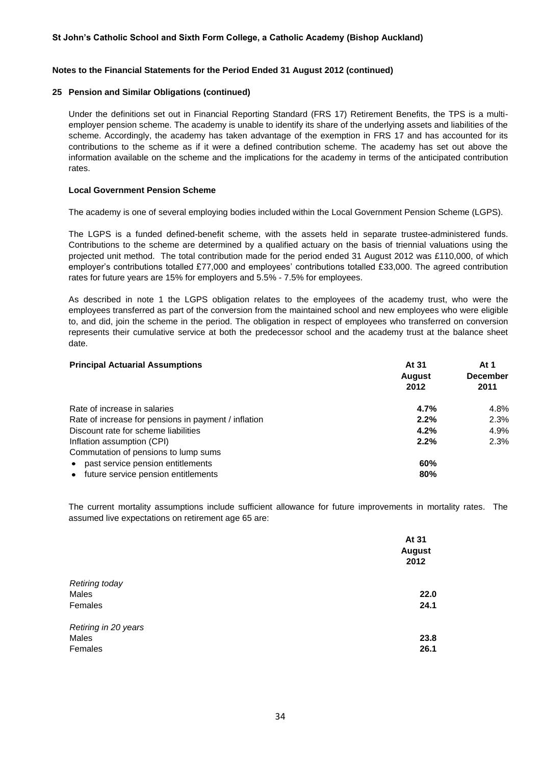# **Notes to the Financial Statements for the Period Ended 31 August 2012 (continued)**

# **25 Pension and Similar Obligations (continued)**

Under the definitions set out in Financial Reporting Standard (FRS 17) Retirement Benefits, the TPS is a multiemployer pension scheme. The academy is unable to identify its share of the underlying assets and liabilities of the scheme. Accordingly, the academy has taken advantage of the exemption in FRS 17 and has accounted for its contributions to the scheme as if it were a defined contribution scheme. The academy has set out above the information available on the scheme and the implications for the academy in terms of the anticipated contribution rates.

### **Local Government Pension Scheme**

The academy is one of several employing bodies included within the Local Government Pension Scheme (LGPS).

The LGPS is a funded defined-benefit scheme, with the assets held in separate trustee-administered funds. Contributions to the scheme are determined by a qualified actuary on the basis of triennial valuations using the projected unit method. The total contribution made for the period ended 31 August 2012 was £110,000, of which employer's contributions totalled £77,000 and employees' contributions totalled £33,000. The agreed contribution rates for future years are 15% for employers and 5.5% - 7.5% for employees.

As described in note 1 the LGPS obligation relates to the employees of the academy trust, who were the employees transferred as part of the conversion from the maintained school and new employees who were eligible to, and did, join the scheme in the period. The obligation in respect of employees who transferred on conversion represents their cumulative service at both the predecessor school and the academy trust at the balance sheet date.

| <b>Principal Actuarial Assumptions</b>               | At 31<br><b>August</b><br>2012 | At 1<br><b>December</b><br>2011 |
|------------------------------------------------------|--------------------------------|---------------------------------|
| Rate of increase in salaries                         | 4.7%                           | 4.8%                            |
| Rate of increase for pensions in payment / inflation | 2.2%                           | 2.3%                            |
| Discount rate for scheme liabilities                 | 4.2%                           | 4.9%                            |
| Inflation assumption (CPI)                           | 2.2%                           | 2.3%                            |
| Commutation of pensions to lump sums                 |                                |                                 |
| past service pension entitlements                    | 60%                            |                                 |
| future service pension entitlements                  | 80%                            |                                 |

The current mortality assumptions include sufficient allowance for future improvements in mortality rates. The assumed live expectations on retirement age 65 are:

|                      | At 31<br><b>August</b><br>2012 |
|----------------------|--------------------------------|
| Retiring today       |                                |
| Males                | 22.0                           |
| Females              | 24.1                           |
| Retiring in 20 years |                                |
| Males                | 23.8                           |
| Females              | 26.1                           |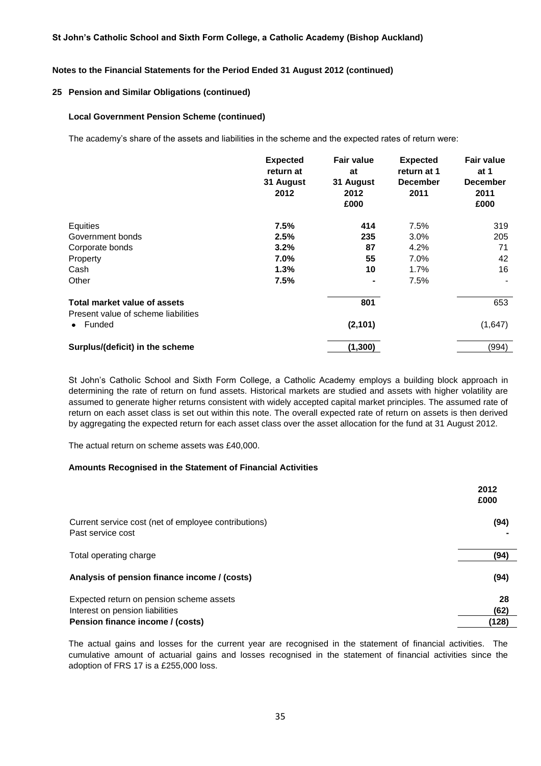#### **Notes to the Financial Statements for the Period Ended 31 August 2012 (continued)**

#### **25 Pension and Similar Obligations (continued)**

#### **Local Government Pension Scheme (continued)**

The academy's share of the assets and liabilities in the scheme and the expected rates of return were:

|                                               | <b>Expected</b><br>return at<br>31 August<br>2012 | <b>Fair value</b><br>at<br>31 August<br>2012<br>£000 | <b>Expected</b><br>return at 1<br><b>December</b><br>2011 | <b>Fair value</b><br>at 1<br><b>December</b><br>2011<br>£000 |
|-----------------------------------------------|---------------------------------------------------|------------------------------------------------------|-----------------------------------------------------------|--------------------------------------------------------------|
| Equities                                      | 7.5%                                              | 414                                                  | 7.5%                                                      | 319                                                          |
| Government bonds                              | 2.5%                                              | 235                                                  | 3.0%                                                      | 205                                                          |
| Corporate bonds                               | 3.2%                                              | 87                                                   | 4.2%                                                      | 71                                                           |
| Property                                      | 7.0%                                              | 55                                                   | 7.0%                                                      | 42                                                           |
| Cash                                          | 1.3%                                              | 10                                                   | 1.7%                                                      | 16                                                           |
| Other                                         | 7.5%                                              |                                                      | 7.5%                                                      |                                                              |
| Total market value of assets                  |                                                   | 801                                                  |                                                           | 653                                                          |
| Present value of scheme liabilities<br>Funded |                                                   | (2, 101)                                             |                                                           | (1,647)                                                      |
| Surplus/(deficit) in the scheme               |                                                   | (1, 300)                                             |                                                           | (994)                                                        |

St John's Catholic School and Sixth Form College, a Catholic Academy employs a building block approach in determining the rate of return on fund assets. Historical markets are studied and assets with higher volatility are assumed to generate higher returns consistent with widely accepted capital market principles. The assumed rate of return on each asset class is set out within this note. The overall expected rate of return on assets is then derived by aggregating the expected return for each asset class over the asset allocation for the fund at 31 August 2012.

The actual return on scheme assets was £40,000.

#### **Amounts Recognised in the Statement of Financial Activities**

|                                                                             | 2012<br>£000 |
|-----------------------------------------------------------------------------|--------------|
| Current service cost (net of employee contributions)<br>Past service cost   | (94)         |
| Total operating charge                                                      | (94)         |
| Analysis of pension finance income / (costs)                                | (94)         |
| Expected return on pension scheme assets<br>Interest on pension liabilities | 28<br>(62)   |
| Pension finance income / (costs)                                            | (128)        |

The actual gains and losses for the current year are recognised in the statement of financial activities. The cumulative amount of actuarial gains and losses recognised in the statement of financial activities since the adoption of FRS 17 is a £255,000 loss.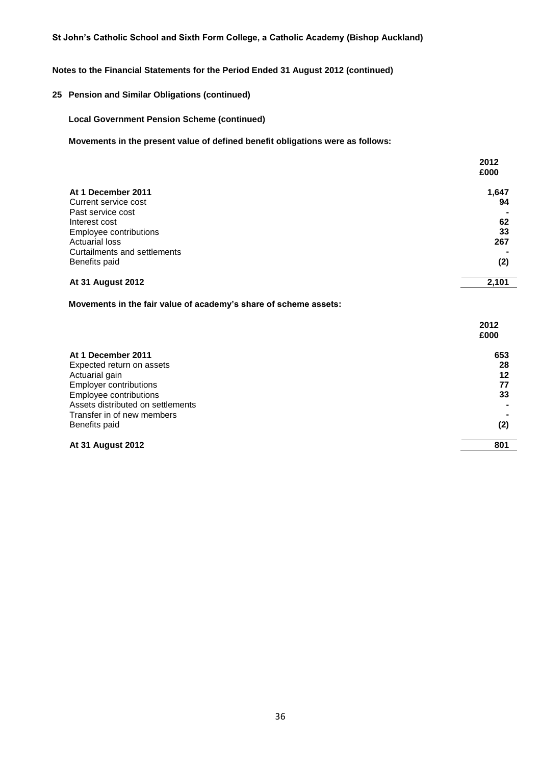# **Notes to the Financial Statements for the Period Ended 31 August 2012 (continued)**

# **25 Pension and Similar Obligations (continued)**

### **Local Government Pension Scheme (continued)**

**Movements in the present value of defined benefit obligations were as follows:**

|                              | 2012<br>£000 |
|------------------------------|--------------|
| At 1 December 2011           | 1,647        |
| Current service cost         | 94           |
| Past service cost            |              |
| Interest cost                | 62           |
| Employee contributions       | 33           |
| <b>Actuarial loss</b>        | 267          |
| Curtailments and settlements |              |
| Benefits paid                | (2)          |
| <b>At 31 August 2012</b>     | 2,101        |
|                              |              |

**Movements in the fair value of academy's share of scheme assets:**

|                                   | 2012 |
|-----------------------------------|------|
|                                   | £000 |
| At 1 December 2011                | 653  |
| Expected return on assets         | 28   |
| Actuarial gain                    | 12   |
| <b>Employer contributions</b>     | 77   |
| Employee contributions            | 33   |
| Assets distributed on settlements |      |
| Transfer in of new members        |      |
| Benefits paid                     | (2)  |
| <b>At 31 August 2012</b>          | 801  |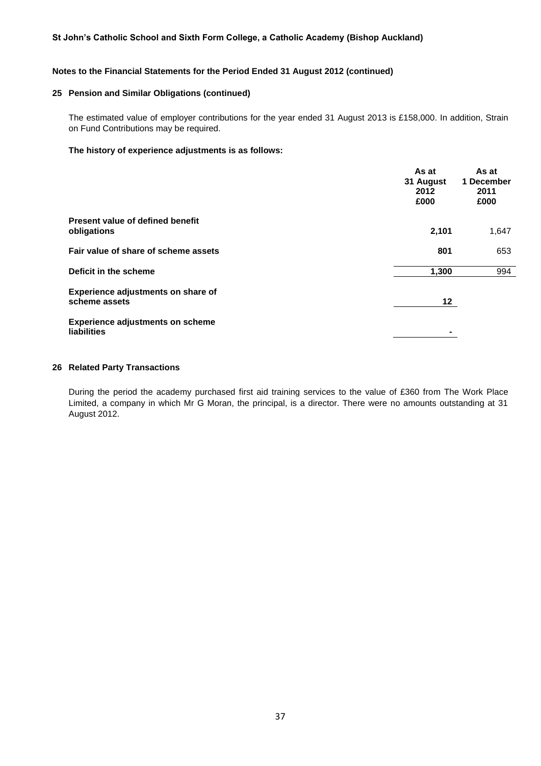#### **Notes to the Financial Statements for the Period Ended 31 August 2012 (continued)**

# **25 Pension and Similar Obligations (continued)**

The estimated value of employer contributions for the year ended 31 August 2013 is £158,000. In addition, Strain on Fund Contributions may be required.

#### **The history of experience adjustments is as follows:**

|                                                        | As at<br>31 August<br>2012<br>£000 | As at<br>1 December<br>2011<br>£000 |
|--------------------------------------------------------|------------------------------------|-------------------------------------|
| Present value of defined benefit<br>obligations        | 2,101                              | 1,647                               |
| Fair value of share of scheme assets                   | 801                                | 653                                 |
| Deficit in the scheme                                  | 1,300                              | 994                                 |
| Experience adjustments on share of<br>scheme assets    | 12                                 |                                     |
| <b>Experience adjustments on scheme</b><br>liabilities |                                    |                                     |

# **26 Related Party Transactions**

During the period the academy purchased first aid training services to the value of £360 from The Work Place Limited, a company in which Mr G Moran, the principal, is a director. There were no amounts outstanding at 31 August 2012.